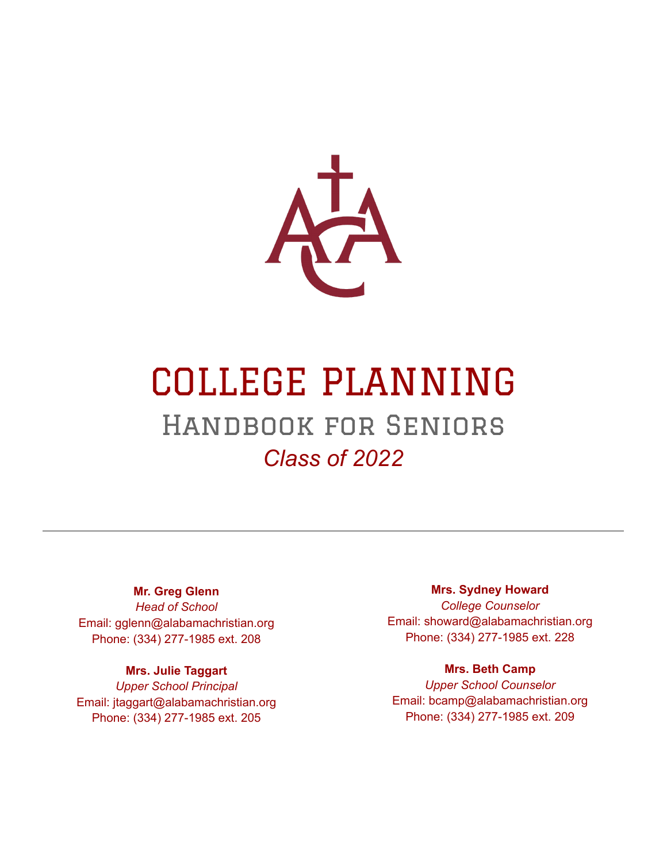

# COLLEGE PLANNING Handbook for Seniors *Class of 2022*

### **Mr. Greg Glenn**

*Head of School* Email: gglenn@alabamachristian.org Phone: (334) 277-1985 ext. 208

### **Mrs. Julie Taggart**

*Upper School Principal* Email: jtaggart@alabamachristian.org Phone: (334) 277-1985 ext. 205

#### **Mrs. Sydney Howard**

*College Counselor* Email: showard@alabamachristian.org Phone: (334) 277-1985 ext. 228

#### **Mrs. Beth Camp**

*Upper School Counselor* Email: bcamp@alabamachristian.org Phone: (334) 277-1985 ext. 209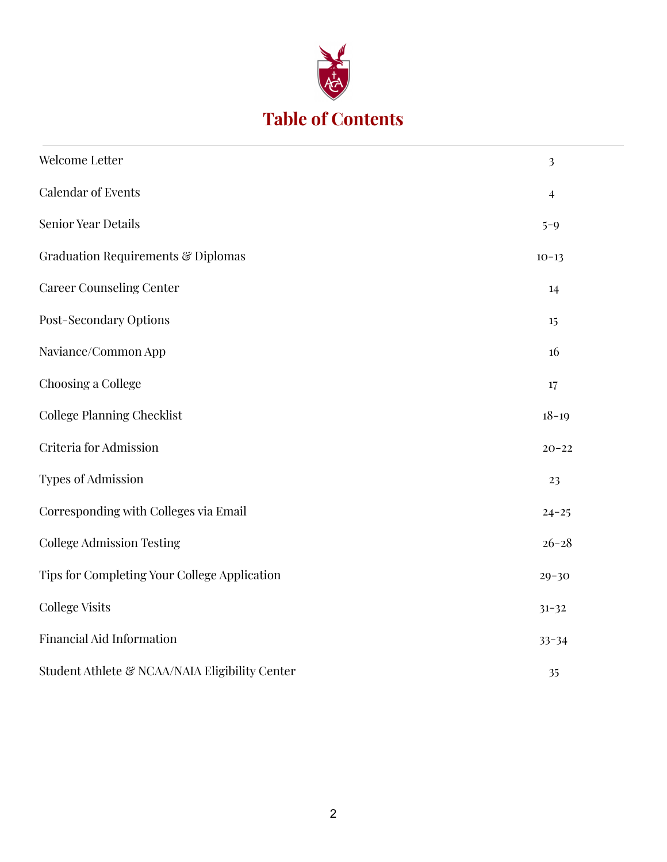

## **Table of Contents**

| Welcome Letter                                 | 3              |
|------------------------------------------------|----------------|
| <b>Calendar of Events</b>                      | $\overline{4}$ |
| Senior Year Details                            | $5 - 9$        |
| Graduation Requirements & Diplomas             | $10 - 13$      |
| <b>Career Counseling Center</b>                | 14             |
| Post-Secondary Options                         | 15             |
| Naviance/Common App                            | 16             |
| Choosing a College                             | 17             |
| <b>College Planning Checklist</b>              | $18 - 19$      |
| Criteria for Admission                         | $20 - 22$      |
| <b>Types of Admission</b>                      | 23             |
| Corresponding with Colleges via Email          | $24 - 25$      |
| <b>College Admission Testing</b>               | $26 - 28$      |
| Tips for Completing Your College Application   | $29 - 30$      |
| <b>College Visits</b>                          | $31 - 32$      |
| <b>Financial Aid Information</b>               | $33 - 34$      |
| Student Athlete & NCAA/NAIA Eligibility Center | 35             |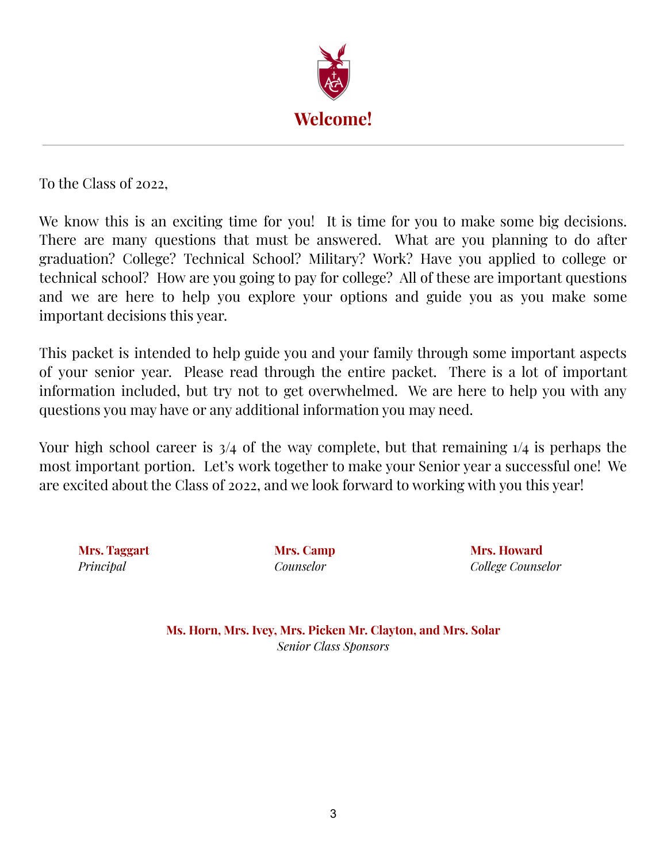

To the Class of 2022,

We know this is an exciting time for you! It is time for you to make some big decisions. There are many questions that must be answered. What are you planning to do after graduation? College? Technical School? Military? Work? Have you applied to college or technical school? How are you going to pay for college? All of these are important questions and we are here to help you explore your options and guide you as you make some important decisions this year.

This packet is intended to help guide you and your family through some important aspects of your senior year. Please read through the entire packet. There is a lot of important information included, but try not to get overwhelmed. We are here to help you with any questions you may have or any additional information you may need.

Your high school career is  $3/4$  of the way complete, but that remaining  $1/4$  is perhaps the most important portion. Let's work together to make your Senior year a successful one! We are excited about the Class of 2022, and we look forward to working with you this year!

**Mrs. Taggart Mrs. Camp Mrs. Howard** *Principal Counselor College Counselor*

> **Ms. Horn, Mrs. Ivey, Mrs. Picken Mr. Clayton, and Mrs. Solar** *Senior Class Sponsors*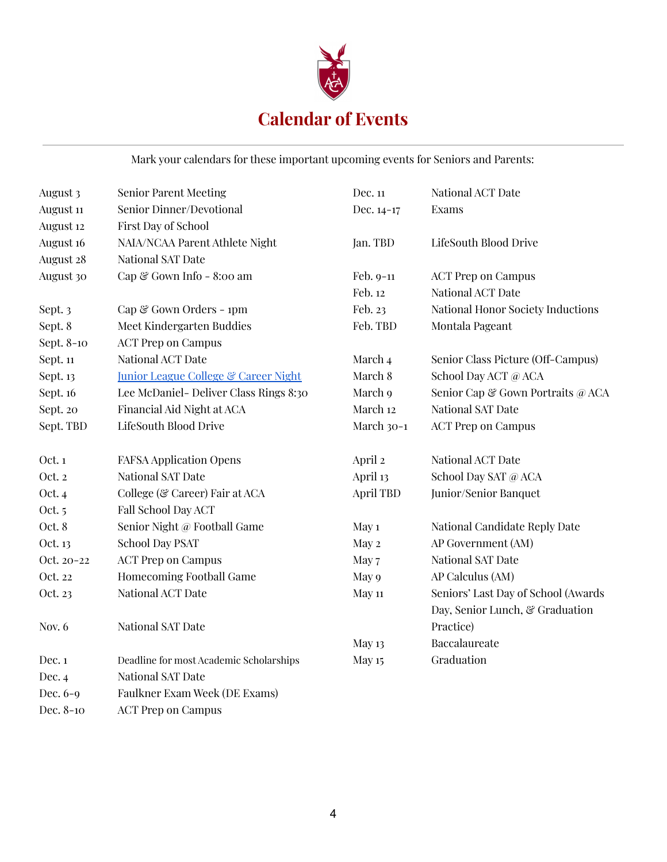

Mark your calendars for these important upcoming events for Seniors and Parents:

| August 3             | <b>Senior Parent Meeting</b>                    | Dec. 11          | National ACT Date                   |
|----------------------|-------------------------------------------------|------------------|-------------------------------------|
| August <sub>11</sub> | Senior Dinner/Devotional                        | Dec. 14-17       | Exams                               |
| August 12            | First Day of School                             |                  |                                     |
| August 16            | NAIA/NCAA Parent Athlete Night                  | Jan. TBD         | LifeSouth Blood Drive               |
| August 28            | National SAT Date                               |                  |                                     |
| August 30            | Cap & Gown Info - 8:00 am                       | Feb. 9-11        | <b>ACT Prep on Campus</b>           |
|                      |                                                 | Feb. 12          | National ACT Date                   |
| Sept. 3              | Cap & Gown Orders - 1pm                         | Feb. 23          | National Honor Society Inductions   |
| Sept. 8              | Meet Kindergarten Buddies                       | Feb. TBD         | Montala Pageant                     |
| Sept. 8-10           | <b>ACT Prep on Campus</b>                       |                  |                                     |
| Sept. 11             | National ACT Date                               | March 4          | Senior Class Picture (Off-Campus)   |
| Sept. 13             | <b>Junior League College &amp; Career Night</b> | March 8          | School Day ACT @ ACA                |
| Sept. 16             | Lee McDaniel- Deliver Class Rings 8:30          | March 9          | Senior Cap & Gown Portraits @ ACA   |
| Sept. 20             | Financial Aid Night at ACA                      | March 12         | National SAT Date                   |
| Sept. TBD            | <b>LifeSouth Blood Drive</b>                    | March 30-1       | <b>ACT Prep on Campus</b>           |
| Oct. 1               | <b>FAFSA Application Opens</b>                  | April 2          | National ACT Date                   |
| Oct. 2               | National SAT Date                               | April 13         | School Day SAT @ ACA                |
| Oct. 4               | College (& Career) Fair at ACA                  | <b>April TBD</b> | Junior/Senior Banquet               |
| Oct. 5               | Fall School Day ACT                             |                  |                                     |
| Oct. 8               | Senior Night @ Football Game                    | May 1            | National Candidate Reply Date       |
| Oct. 13              | School Day PSAT                                 | May 2            | AP Government (AM)                  |
| Oct. 20-22           | <b>ACT Prep on Campus</b>                       | May 7            | National SAT Date                   |
| Oct. 22              | Homecoming Football Game                        | May 9            | AP Calculus (AM)                    |
| Oct. 23              | National ACT Date                               | May 11           | Seniors' Last Day of School (Awards |
|                      |                                                 |                  | Day, Senior Lunch, & Graduation     |
| Nov. 6               | National SAT Date                               |                  | Practice)                           |
|                      |                                                 | May 13           | Baccalaureate                       |
| Dec. 1               | Deadline for most Academic Scholarships         | May 15           | Graduation                          |
| Dec. 4               | National SAT Date                               |                  |                                     |
| Dec. 6-9             | Faulkner Exam Week (DE Exams)                   |                  |                                     |
| Dec. 8-10            | <b>ACT Prep on Campus</b>                       |                  |                                     |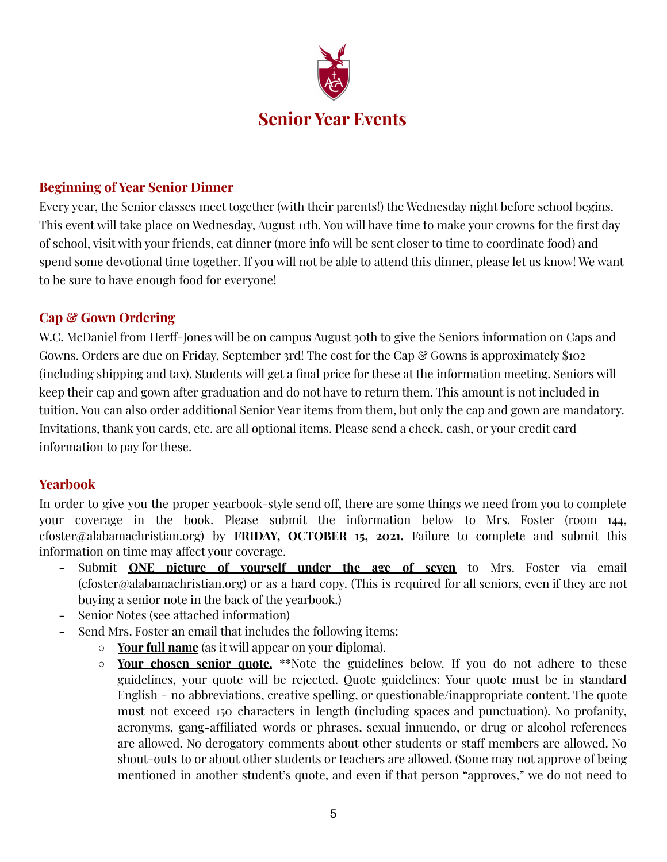

## **Beginning of Year Senior Dinner**

Every year, the Senior classes meet together (with their parents!) the Wednesday night before school begins. This event will take place on Wednesday, August 11th. You will have time to make your crowns for the first day of school, visit with your friends, eat dinner (more info will be sent closer to time to coordinate food) and spend some devotional time together. If you will not be able to attend this dinner, please let us know! We want to be sure to have enough food for everyone!

## **Cap & Gown Ordering**

W.C. McDaniel from Herff-Jones will be on campus August 30th to give the Seniors information on Caps and Gowns. Orders are due on Friday, September 3rd! The cost for the Cap & Gowns is approximately \$102 (including shipping and tax). Students will get a final price for these at the information meeting. Seniors will keep their cap and gown after graduation and do not have to return them. This amount is not included in tuition. You can also order additional Senior Year items from them, but only the cap and gown are mandatory. Invitations, thank you cards, etc. are all optional items. Please send a check, cash, or your credit card information to pay for these.

## **Yearbook**

In order to give you the proper yearbook-style send off, there are some things we need from you to complete your coverage in the book. Please submit the information below to Mrs. Foster (room 144, cfoster@alabamachristian.org) by **FRIDAY, OCTOBER 15, 2021.** Failure to complete and submit this information on time may affect your coverage.

- Submit **ONE picture of yourself under the age of seven** to Mrs. Foster via email (cfoster@alabamachristian.org) or as a hard copy. (This is required for all seniors, even if they are not buying a senior note in the back of the yearbook.)
- Senior Notes (see attached information)
- Send Mrs. Foster an email that includes the following items:
	- **Your full name** (as it will appear on your diploma).
	- **Your chosen senior quote.** \*\*Note the guidelines below. If you do not adhere to these guidelines, your quote will be rejected. Quote guidelines: Your quote must be in standard English - no abbreviations, creative spelling, or questionable/inappropriate content. The quote must not exceed 150 characters in length (including spaces and punctuation). No profanity, acronyms, gang-affiliated words or phrases, sexual innuendo, or drug or alcohol references are allowed. No derogatory comments about other students or staff members are allowed. No shout-outs to or about other students or teachers are allowed. (Some may not approve of being mentioned in another student's quote, and even if that person "approves," we do not need to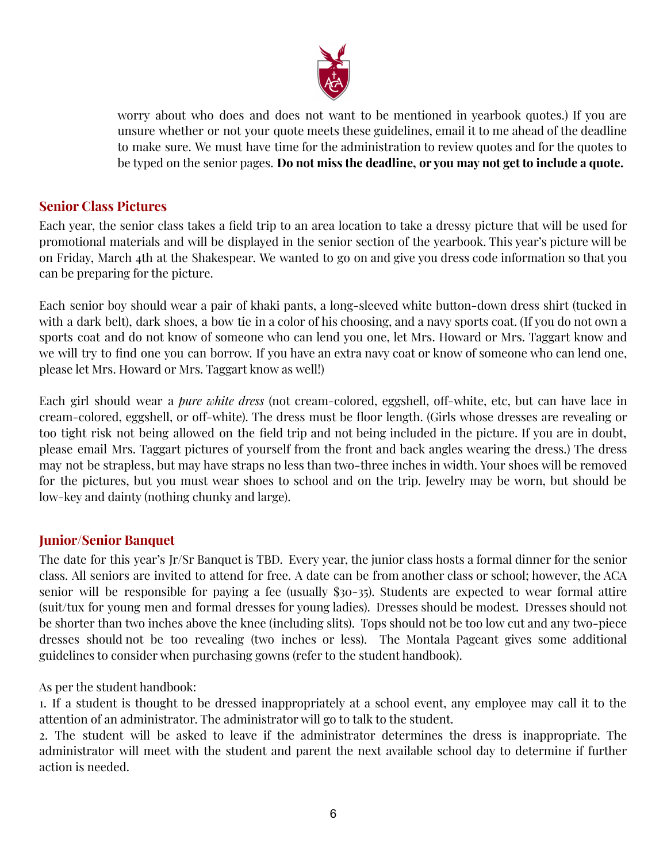

worry about who does and does not want to be mentioned in yearbook quotes.) If you are unsure whether or not your quote meets these guidelines, email it to me ahead of the deadline to make sure. We must have time for the administration to review quotes and for the quotes to be typed on the senior pages. **Do not miss the deadline, or you may not get to include a quote.**

### **Senior Class Pictures**

Each year, the senior class takes a field trip to an area location to take a dressy picture that will be used for promotional materials and will be displayed in the senior section of the yearbook. This year's picture will be on Friday, March 4th at the Shakespear. We wanted to go on and give you dress code information so that you can be preparing for the picture.

Each senior boy should wear a pair of khaki pants, a long-sleeved white button-down dress shirt (tucked in with a dark belt), dark shoes, a bow tie in a color of his choosing, and a navy sports coat. (If you do not own a sports coat and do not know of someone who can lend you one, let Mrs. Howard or Mrs. Taggart know and we will try to find one you can borrow. If you have an extra navy coat or know of someone who can lend one, please let Mrs. Howard or Mrs. Taggart know as well!)

Each girl should wear a *pure white dress* (not cream-colored, eggshell, off-white, etc, but can have lace in cream-colored, eggshell, or off-white). The dress must be floor length. (Girls whose dresses are revealing or too tight risk not being allowed on the field trip and not being included in the picture. If you are in doubt, please email Mrs. Taggart pictures of yourself from the front and back angles wearing the dress.) The dress may not be strapless, but may have straps no less than two-three inches in width. Your shoes will be removed for the pictures, but you must wear shoes to school and on the trip. Jewelry may be worn, but should be low-key and dainty (nothing chunky and large).

## **Junior/Senior Banquet**

The date for this year's Jr/Sr Banquet is TBD. Every year, the junior class hosts a formal dinner for the senior class. All seniors are invited to attend for free. A date can be from another class or school; however, the ACA senior will be responsible for paying a fee (usually \$30-35). Students are expected to wear formal attire (suit/tux for young men and formal dresses for young ladies). Dresses should be modest. Dresses should not be shorter than two inches above the knee (including slits). Tops should not be too low cut and any two-piece dresses should not be too revealing (two inches or less). The Montala Pageant gives some additional guidelines to consider when purchasing gowns (refer to the student handbook).

As per the student handbook:

1. If a student is thought to be dressed inappropriately at a school event, any employee may call it to the attention of an administrator. The administrator will go to talk to the student.

2. The student will be asked to leave if the administrator determines the dress is inappropriate. The administrator will meet with the student and parent the next available school day to determine if further action is needed.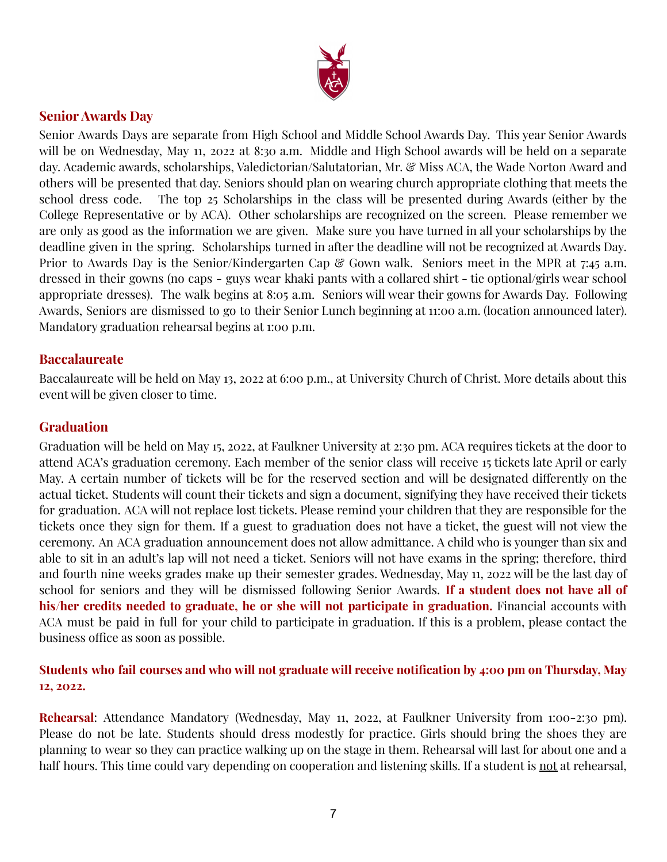

## **Senior Awards Day**

Senior Awards Days are separate from High School and Middle School Awards Day. This year Senior Awards will be on Wednesday, May 11, 2022 at 8:30 a.m. Middle and High School awards will be held on a separate day. Academic awards, scholarships, Valedictorian/Salutatorian, Mr. & Miss ACA, the Wade Norton Award and others will be presented that day. Seniors should plan on wearing church appropriate clothing that meets the school dress code. The top 25 Scholarships in the class will be presented during Awards (either by the College Representative or by ACA). Other scholarships are recognized on the screen. Please remember we are only as good as the information we are given. Make sure you have turned in all your scholarships by the deadline given in the spring. Scholarships turned in after the deadline will not be recognized at Awards Day. Prior to Awards Day is the Senior/Kindergarten Cap & Gown walk. Seniors meet in the MPR at 7:45 a.m. dressed in their gowns (no caps - guys wear khaki pants with a collared shirt - tie optional/girls wear school appropriate dresses). The walk begins at 8:05 a.m. Seniors will wear their gowns for Awards Day. Following Awards, Seniors are dismissed to go to their Senior Lunch beginning at 11:00 a.m. (location announced later). Mandatory graduation rehearsal begins at 1:00 p.m.

### **Baccalaureate**

Baccalaureate will be held on May 13, 2022 at 6:00 p.m., at University Church of Christ. More details about this event will be given closer to time.

## **Graduation**

Graduation will be held on May 15, 2022, at Faulkner University at 2:30 pm. ACA requires tickets at the door to attend ACA's graduation ceremony. Each member of the senior class will receive 15 tickets late April or early May. A certain number of tickets will be for the reserved section and will be designated differently on the actual ticket. Students will count their tickets and sign a document, signifying they have received their tickets for graduation. ACA will not replace lost tickets. Please remind your children that they are responsible for the tickets once they sign for them. If a guest to graduation does not have a ticket, the guest will not view the ceremony. An ACA graduation announcement does not allow admittance. A child who is younger than six and able to sit in an adult's lap will not need a ticket. Seniors will not have exams in the spring; therefore, third and fourth nine weeks grades make up their semester grades. Wednesday, May 11, 2022 will be the last day of school for seniors and they will be dismissed following Senior Awards. **If a student does not have all of his/her credits needed to graduate, he or she will not participate in graduation.** Financial accounts with ACA must be paid in full for your child to participate in graduation. If this is a problem, please contact the business office as soon as possible.

## Students who fail courses and who will not graduate will receive notification by 4:00 pm on Thursday, May **12, 2022.**

**Rehearsal**: Attendance Mandatory (Wednesday, May 11, 2022, at Faulkner University from 1:00-2:30 pm). Please do not be late. Students should dress modestly for practice. Girls should bring the shoes they are planning to wear so they can practice walking up on the stage in them. Rehearsal will last for about one and a half hours. This time could vary depending on cooperation and listening skills. If a student is <u>not</u> at rehearsal,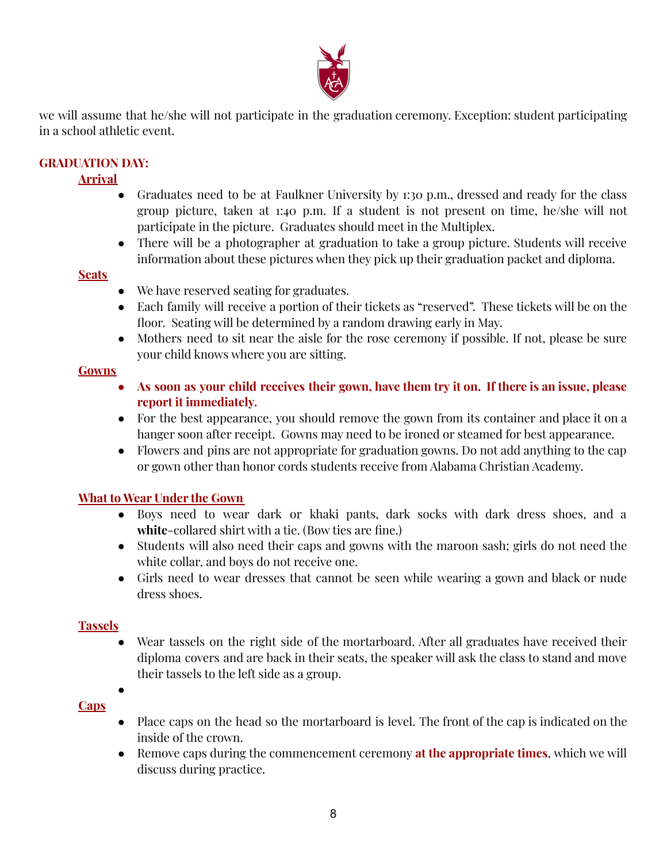

we will assume that he/she will not participate in the graduation ceremony. Exception: student participating in a school athletic event.

## **GRADUATION DAY:**

### **Arrival**

- Graduates need to be at Faulkner University by 1:30 p.m., dressed and ready for the class group picture, taken at 1:40 p.m. If a student is not present on time, he/she will not participate in the picture. Graduates should meet in the Multiplex.
- There will be a photographer at graduation to take a group picture. Students will receive information about these pictures when they pick up their graduation packet and diploma.

## **Seats**

- We have reserved seating for graduates.
- Each family will receive a portion of their tickets as "reserved". These tickets will be on the floor. Seating will be determined by a random drawing early in May.
- Mothers need to sit near the aisle for the rose ceremony if possible. If not, please be sure your child knows where you are sitting.

## **Gowns**

- As soon as your child receives their gown, have them try it on. If there is an issue, please **report it immediately.**
- **●** For the best appearance, you should remove the gown from its container and place it on a hanger soon after receipt. Gowns may need to be ironed or steamed for best appearance.
- **●** Flowers and pins are not appropriate for graduation gowns. Do not add anything to the cap or gown other than honor cords students receive from Alabama Christian Academy.

## **What to Wear Under the Gown**

- Boys need to wear dark or khaki pants, dark socks with dark dress shoes, and a **white**-collared shirt with a tie. (Bow ties are fine.)
- Students will also need their caps and gowns with the maroon sash; girls do not need the white collar, and boys do not receive one.
- Girls need to wear dresses that cannot be seen while wearing a gown and black or nude dress shoes.

## **Tassels**

**●** Wear tassels on the right side of the mortarboard. After all graduates have received their diploma covers and are back in their seats, the speaker will ask the class to stand and move their tassels to the left side as a group.

## **Caps**

●

- Place caps on the head so the mortarboard is level. The front of the cap is indicated on the inside of the crown.
- Remove caps during the commencement ceremony **at the appropriate times**, which we will discuss during practice.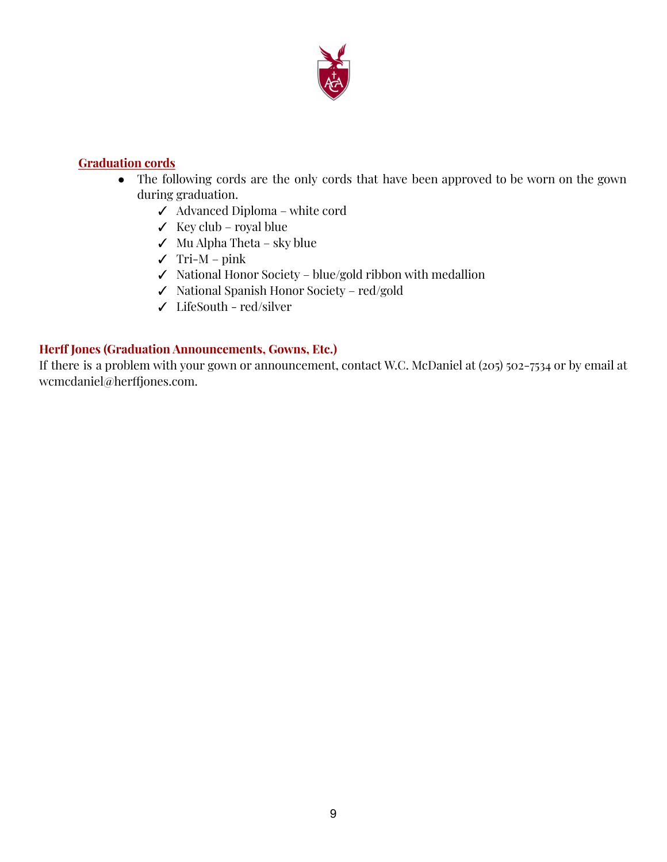

## **Graduation cords**

- The following cords are the only cords that have been approved to be worn on the gown during graduation.
	- ✓ Advanced Diploma white cord
	- $\checkmark$  Key club royal blue
	- $\checkmark$  Mu Alpha Theta sky blue
	- $\checkmark$  Tri-M pink
	- $\checkmark$  National Honor Society blue/gold ribbon with medallion
	- ✓ National Spanish Honor Society red/gold
	- $\angle$  LifeSouth red/silver

### **Herff Jones (Graduation Announcements, Gowns, Etc.)**

If there is a problem with your gown or announcement, contact W.C. McDaniel at (205) 502-7534 or by email at wcmcdaniel@herffjones.com.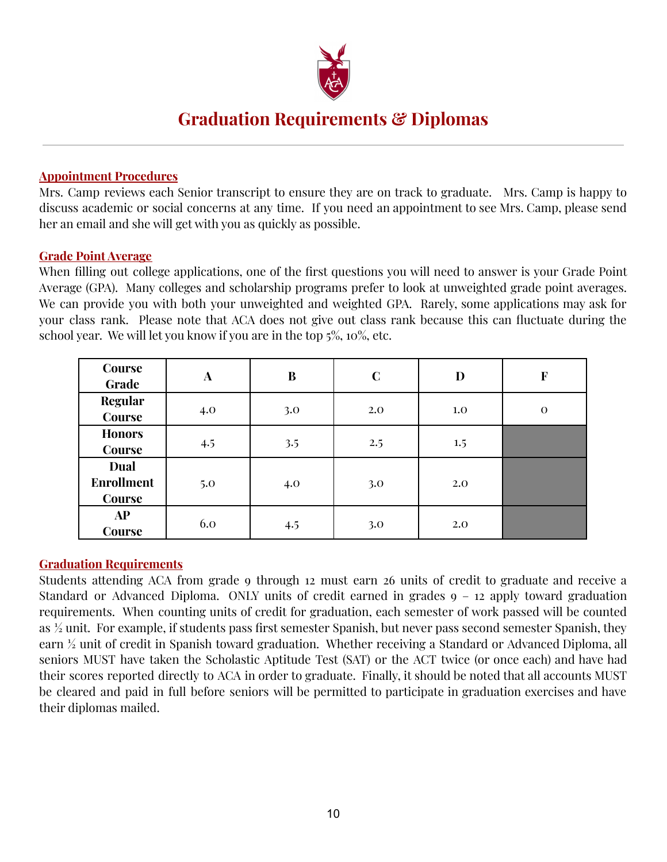

## **Graduation Requirements & Diplomas**

### **Appointment Procedures**

Mrs. Camp reviews each Senior transcript to ensure they are on track to graduate. Mrs. Camp is happy to discuss academic or social concerns at any time. If you need an appointment to see Mrs. Camp, please send her an email and she will get with you as quickly as possible.

#### **Grade Point Average**

When filling out college applications, one of the first questions you will need to answer is your Grade Point Average (GPA). Many colleges and scholarship programs prefer to look at unweighted grade point averages. We can provide you with both your unweighted and weighted GPA. Rarely, some applications may ask for your class rank. Please note that ACA does not give out class rank because this can fluctuate during the school year. We will let you know if you are in the top  $5\%$ ,  $10\%$ , etc.

| Course<br>Grade                     | A   | $\bf{B}$ | $\mathbf C$ | D   | $\mathbf F$ |
|-------------------------------------|-----|----------|-------------|-----|-------------|
| <b>Regular</b><br>Course            | 4.0 | 3.0      | 2.0         | 1.0 | $\theta$    |
| <b>Honors</b><br>Course             | 4.5 | 3.5      | 2.5         | 1.5 |             |
| Dual<br><b>Enrollment</b><br>Course | 5.0 | 4.0      | 3.0         | 2.0 |             |
| AP<br>Course                        | 6.0 | 4.5      | 3.0         | 2.0 |             |

### **Graduation Requirements**

Students attending ACA from grade 9 through 12 must earn 26 units of credit to graduate and receive a Standard or Advanced Diploma. ONLY units of credit earned in grades 9 – 12 apply toward graduation requirements. When counting units of credit for graduation, each semester of work passed will be counted as ½ unit. For example, if students pass first semester Spanish, but never pass second semester Spanish, they earn ½ unit of credit in Spanish toward graduation. Whether receiving a Standard or Advanced Diploma, all seniors MUST have taken the Scholastic Aptitude Test (SAT) or the ACT twice (or once each) and have had their scores reported directly to ACA in order to graduate. Finally, it should be noted that all accounts MUST be cleared and paid in full before seniors will be permitted to participate in graduation exercises and have their diplomas mailed.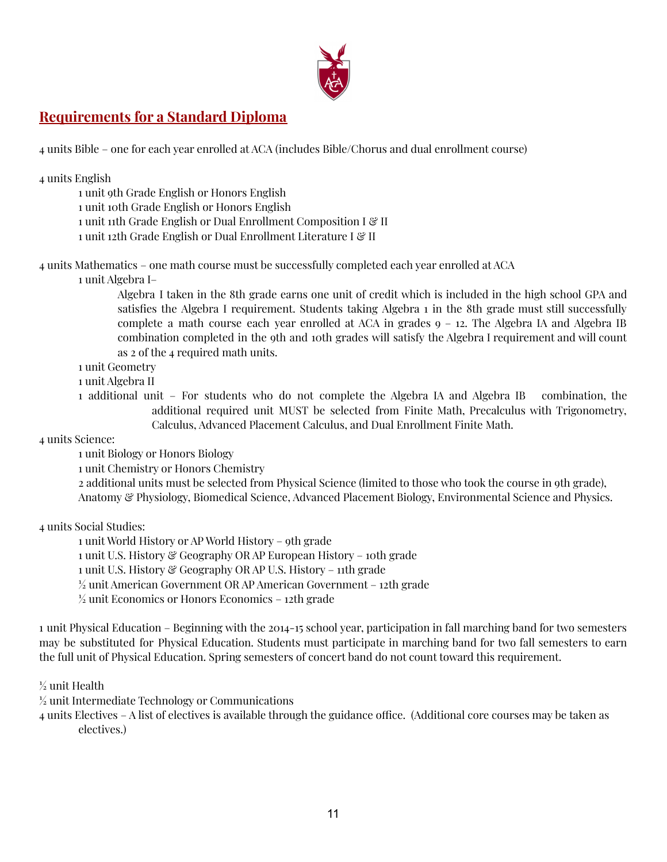

## **Requirements for a Standard Diploma**

4 units Bible – one for each year enrolled at ACA (includes Bible/Chorus and dual enrollment course)

#### 4 units English

1 unit 9th Grade English or Honors English 1 unit 10th Grade English or Honors English 1 unit 11th Grade English or Dual Enrollment Composition I & II 1 unit 12th Grade English or Dual Enrollment Literature I & II

4 units Mathematics – one math course must be successfully completed each year enrolled at ACA

#### 1 unit Algebra I–

Algebra I taken in the 8th grade earns one unit of credit which is included in the high school GPA and satisfies the Algebra I requirement. Students taking Algebra 1 in the 8th grade must still successfully complete a math course each year enrolled at ACA in grades 9 – 12. The Algebra IA and Algebra IB combination completed in the 9th and 10th grades will satisfy the Algebra I requirement and will count as 2 of the 4 required math units.

1 unit Geometry

1 unit Algebra II

1 additional unit – For students who do not complete the Algebra IA and Algebra IB combination, the additional required unit MUST be selected from Finite Math, Precalculus with Trigonometry, Calculus, Advanced Placement Calculus, and Dual Enrollment Finite Math.

#### 4 units Science:

1 unit Biology or Honors Biology

1 unit Chemistry or Honors Chemistry

2 additional units must be selected from Physical Science (limited to those who took the course in 9th grade), Anatomy & Physiology, Biomedical Science, Advanced Placement Biology, Environmental Science and Physics.

4 units Social Studies:

1 unit World History or AP World History – 9th grade 1 unit U.S. History & Geography OR AP European History – 10th grade 1 unit U.S. History & Geography OR AP U.S. History – 11th grade ½ unit American Government OR AP American Government – 12th grade  $\frac{1}{2}$  unit Economics or Honors Economics – 12th grade

1 unit Physical Education – Beginning with the 2014-15 school year, participation in fall marching band for two semesters may be substituted for Physical Education. Students must participate in marching band for two fall semesters to earn the full unit of Physical Education. Spring semesters of concert band do not count toward this requirement.

#### $\frac{1}{2}$  unit Health

½ unit Intermediate Technology or Communications

4 units Electives – A list of electives is available through the guidance office. (Additional core courses may be taken as electives.)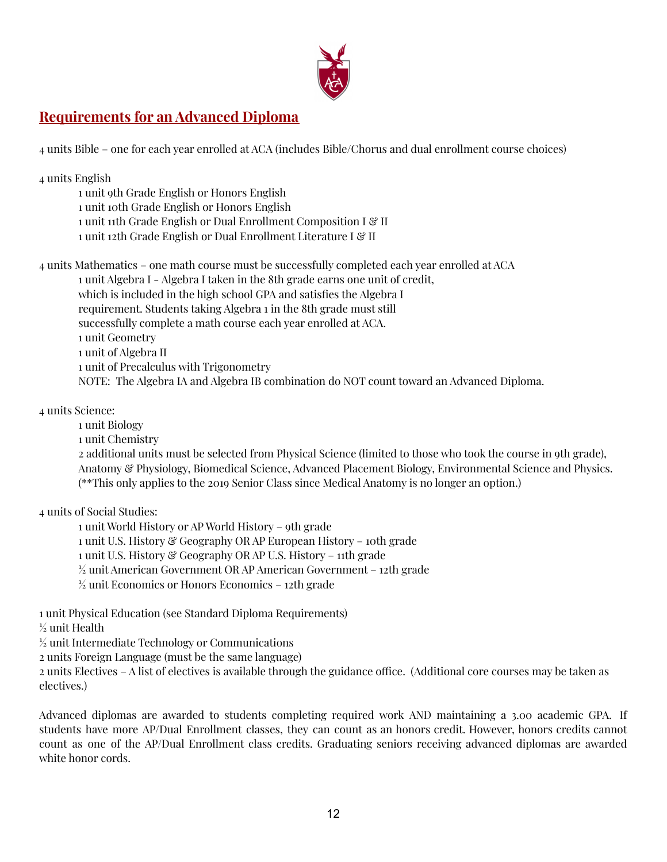

## **Requirements for an Advanced Diploma**

units Bible – one for each year enrolled at ACA (includes Bible/Chorus and dual enrollment course choices)

 units English unit 9th Grade English or Honors English unit 10th Grade English or Honors English 1 unit 11th Grade English or Dual Enrollment Composition I & II 1 unit 12th Grade English or Dual Enrollment Literature I & II

 units Mathematics – one math course must be successfully completed each year enrolled at ACA unit Algebra I - Algebra I taken in the 8th grade earns one unit of credit, which is included in the high school GPA and satisfies the Algebra I requirement. Students taking Algebra 1 in the 8th grade must still successfully complete a math course each year enrolled at ACA. unit Geometry unit of Algebra II unit of Precalculus with Trigonometry NOTE: The Algebra IA and Algebra IB combination do NOT count toward an Advanced Diploma.

units Science:

 unit Biology unit Chemistry additional units must be selected from Physical Science (limited to those who took the course in 9th grade), Anatomy & Physiology, Biomedical Science, Advanced Placement Biology, Environmental Science and Physics. (\*\*This only applies to the 2019 Senior Class since Medical Anatomy is no longer an option.)

units of Social Studies:

 unit World History or AP World History – 9th grade unit U.S. History & Geography OR AP European History – 10th grade unit U.S. History & Geography OR AP U.S. History – 11th grade unit American Government OR AP American Government – 12th grade  $\frac{1}{2}$  unit Economics or Honors Economics – 12th grade

unit Physical Education (see Standard Diploma Requirements)

unit Health

unit Intermediate Technology or Communications

units Foreign Language (must be the same language)

 units Electives – A list of electives is available through the guidance office. (Additional core courses may be taken as electives.)

Advanced diplomas are awarded to students completing required work AND maintaining a 3.00 academic GPA. If students have more AP/Dual Enrollment classes, they can count as an honors credit. However, honors credits cannot count as one of the AP/Dual Enrollment class credits. Graduating seniors receiving advanced diplomas are awarded white honor cords.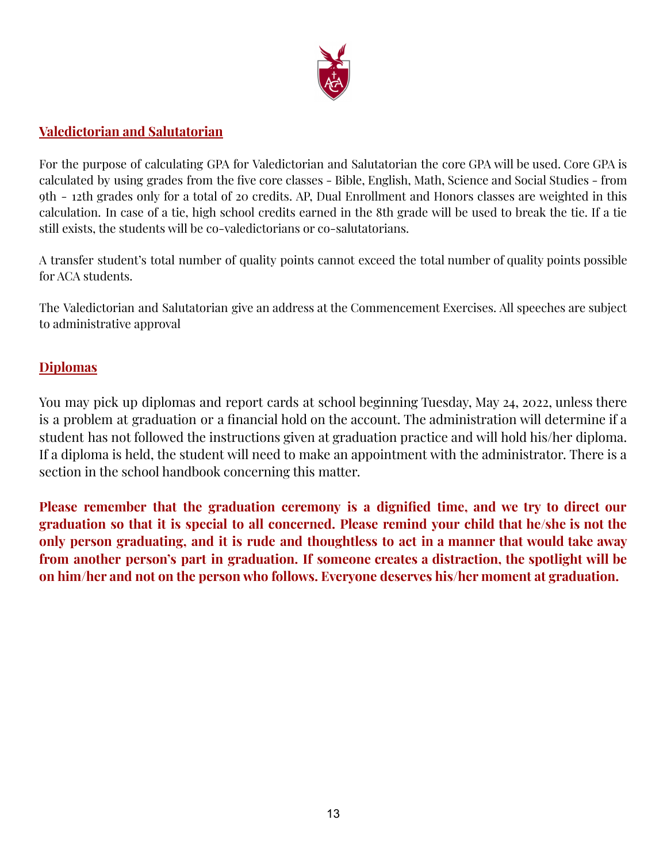

## **Valedictorian and Salutatorian**

For the purpose of calculating GPA for Valedictorian and Salutatorian the core GPA will be used. Core GPA is calculated by using grades from the five core classes - Bible, English, Math, Science and Social Studies - from 9th - 12th grades only for a total of 20 credits. AP, Dual Enrollment and Honors classes are weighted in this calculation. In case of a tie, high school credits earned in the 8th grade will be used to break the tie. If a tie still exists, the students will be co-valedictorians or co-salutatorians.

A transfer student's total number of quality points cannot exceed the total number of quality points possible for ACA students.

The Valedictorian and Salutatorian give an address at the Commencement Exercises. All speeches are subject to administrative approval

## **Diplomas**

You may pick up diplomas and report cards at school beginning Tuesday, May 24, 2022, unless there is a problem at graduation or a financial hold on the account. The administration will determine if a student has not followed the instructions given at graduation practice and will hold his/her diploma. If a diploma is held, the student will need to make an appointment with the administrator. There is a section in the school handbook concerning this matter.

**Please remember that the graduation ceremony is a dignified time, and we try to direct our graduation so that it is special to all concerned. Please remind your child that he/she is not the only person graduating, and it is rude and thoughtless to act in a manner that would take away from another person's part in graduation. If someone creates a distraction, the spotlight will be on him/her and not on the person who follows. Everyone deserves his/her moment at graduation.**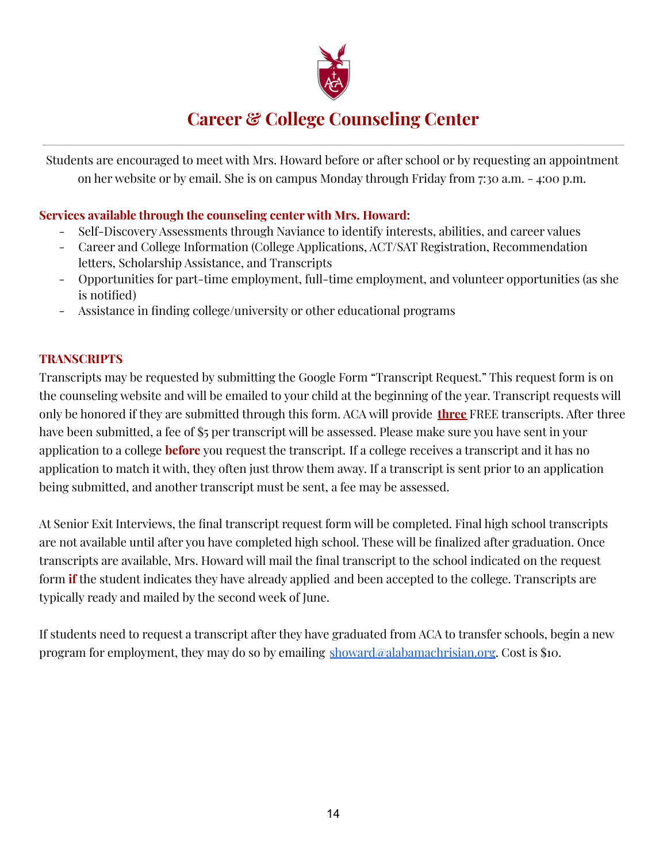

## **Career & College Counseling Center**

Students are encouraged to meet with Mrs. Howard before or after school or by requesting an appointment on her website or by email. She is on campus Monday through Friday from 7:30 a.m. - 4:00 p.m.

## **Services available through the counseling center with Mrs. Howard:**

- Self-Discovery Assessments through Naviance to identify interests, abilities, and career values
- Career and College Information (College Applications, ACT/SAT Registration, Recommendation letters, Scholarship Assistance, and Transcripts
- Opportunities for part-time employment, full-time employment, and volunteer opportunities (as she is notified)
- Assistance in finding college/university or other educational programs

## **TRANSCRIPTS**

Transcripts may be requested by submitting the Google Form "Transcript Request." This request form is on the counseling website and will be emailed to your child at the beginning of the year. Transcript requests will only be honored if they are submitted through this form. ACA will provide **three** FREE transcripts. After three have been submitted, a fee of \$5 per transcript will be assessed. Please make sure you have sent in your application to a college **before** you request the transcript. If a college receives a transcript and it has no application to match it with, they often just throw them away. If a transcript is sent prior to an application being submitted, and another transcript must be sent, a fee may be assessed.

At Senior Exit Interviews, the final transcript request form will be completed. Final high school transcripts are not available until after you have completed high school. These will be finalized after graduation. Once transcripts are available, Mrs. Howard will mail the final transcript to the school indicated on the request form **if** the student indicates they have already applied and been accepted to the college. Transcripts are typically ready and mailed by the second week of June.

If students need to request a transcript after they have graduated from ACA to transfer schools, begin a new program for employment, they may do so by emailing [showard@alabamachrisian.org](mailto:showard@alabamachrisian.org). Cost is \$10.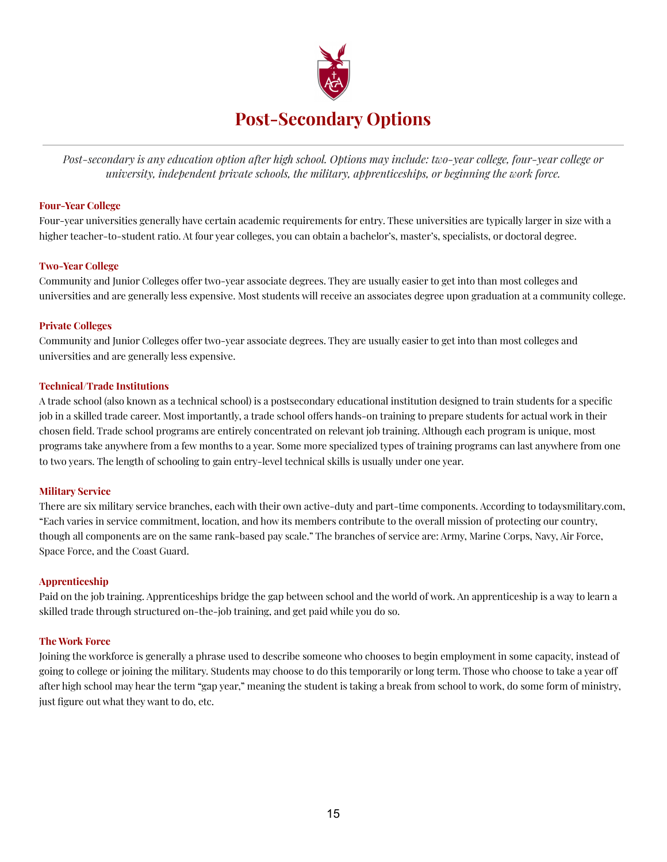

Post-secondary is any education option after high school. Options may include: two-year college, four-year college or *university, independent private schools, the military, apprenticeships, or beginning the work force.*

#### **Four-Year College**

Four-year universities generally have certain academic requirements for entry. These universities are typically larger in size with a higher teacher-to-student ratio. At four year colleges, you can obtain a bachelor's, master's, specialists, or doctoral degree.

#### **Two-Year College**

Community and Junior Colleges offer two-year associate degrees. They are usually easier to get into than most colleges and universities and are generally less expensive. Most students will receive an associates degree upon graduation at a community college.

#### **Private Colleges**

Community and Junior Colleges offer two-year associate degrees. They are usually easier to get into than most colleges and universities and are generally less expensive.

#### **Technical/Trade Institutions**

A trade school (also known as a technical school) is a postsecondary educational institution designed to train students for a specific job in a skilled trade career. Most importantly, a trade school offers hands-on training to prepare students for actual work in their chosen field. Trade school programs are entirely concentrated on relevant job training. Although each program is unique, most programs take anywhere from a few months to a year. Some more specialized types of training programs can last anywhere from one to two years. The length of schooling to gain entry-level technical skills is usually under one year.

#### **Military Service**

There are six military service branches, each with their own active-duty and part-time components. According to todaysmilitary.com, "Each varies in service commitment, location, and how its members contribute to the overall mission of protecting our country, though all components are on the same rank-based pay scale." The branches of service are: Army, Marine Corps, Navy, Air Force, Space Force, and the Coast Guard.

#### **Apprenticeship**

Paid on the job training. Apprenticeships bridge the gap between school and the world of work. An apprenticeship is a way to learn a skilled trade through structured on-the-job training, and get paid while you do so.

#### **The Work Force**

Joining the workforce is generally a phrase used to describe someone who chooses to begin employment in some capacity, instead of going to college or joining the military. Students may choose to do this temporarily or long term. Those who choose to take a year off after high school may hear the term "gap year," meaning the student is taking a break from school to work, do some form of ministry, just figure out what they want to do, etc.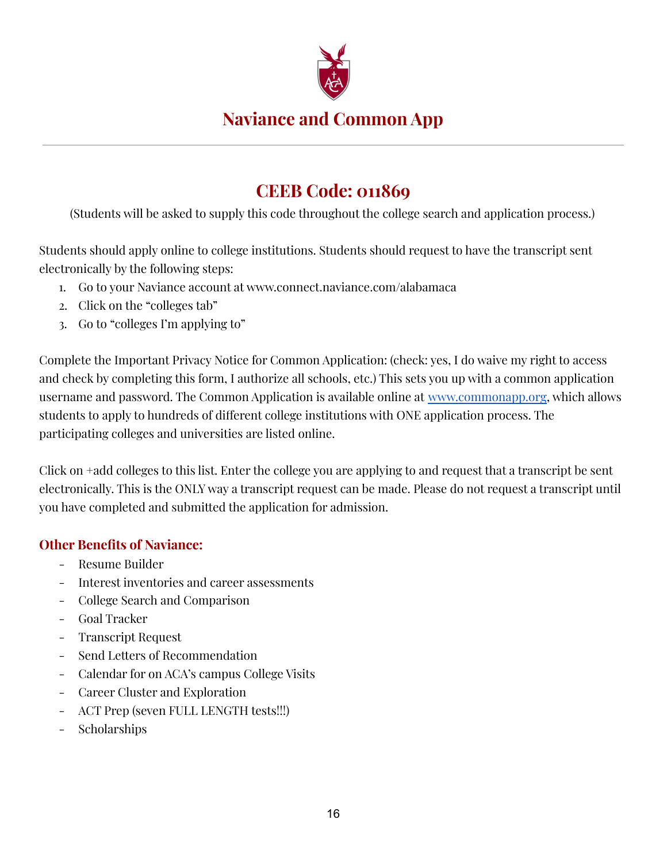

## **Naviance and Common App**

## **CEEB Code: 011869**

(Students will be asked to supply this code throughout the college search and application process.)

Students should apply online to college institutions. Students should request to have the transcript sent electronically by the following steps:

- 1. Go to your Naviance account at www.connect.naviance.com/alabamaca
- 2. Click on the "colleges tab"
- 3. Go to "colleges I'm applying to"

Complete the Important Privacy Notice for Common Application: (check: yes, I do waive my right to access and check by completing this form, I authorize all schools, etc.) This sets you up with a common application username and password. The Common Application is available online at [www.commonapp.org](http://www.commonapp.org), which allows students to apply to hundreds of different college institutions with ONE application process. The participating colleges and universities are listed online.

Click on +add colleges to this list. Enter the college you are applying to and request that a transcript be sent electronically. This is the ONLY way a transcript request can be made. Please do not request a transcript until you have completed and submitted the application for admission.

## **Other Benefits of Naviance:**

- Resume Builder
- Interest inventories and career assessments
- College Search and Comparison
- Goal Tracker
- Transcript Request
- Send Letters of Recommendation
- Calendar for on ACA's campus College Visits
- Career Cluster and Exploration
- ACT Prep (seven FULL LENGTH tests!!!)
- **Scholarships**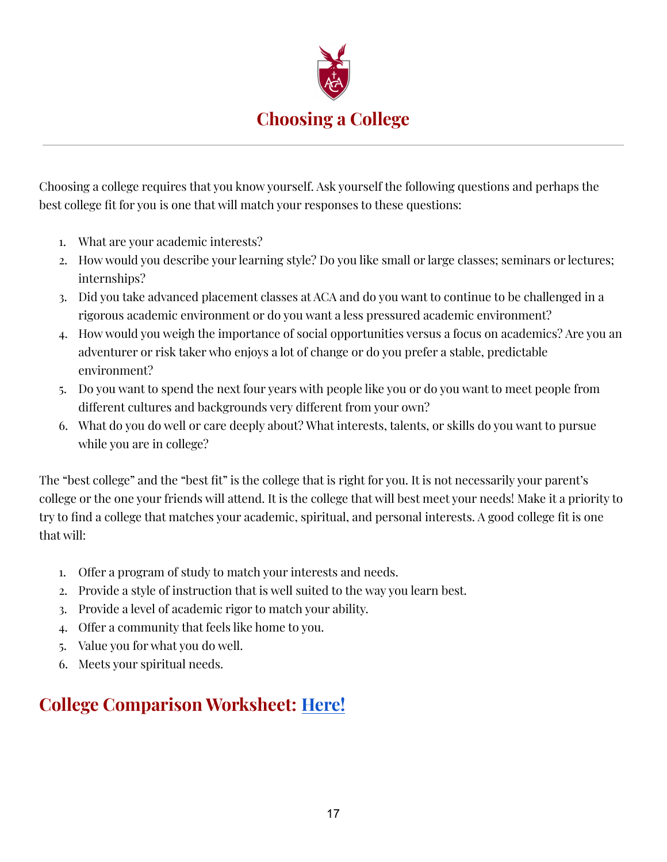

Choosing a college requires that you know yourself. Ask yourself the following questions and perhaps the best college fit for you is one that will match your responses to these questions:

- 1. What are your academic interests?
- 2. How would you describe your learning style? Do you like small or large classes; seminars or lectures; internships?
- 3. Did you take advanced placement classes at ACA and do you want to continue to be challenged in a rigorous academic environment or do you want a less pressured academic environment?
- 4. How would you weigh the importance of social opportunities versus a focus on academics? Are you an adventurer or risk taker who enjoys a lot of change or do you prefer a stable, predictable environment?
- 5. Do you want to spend the next four years with people like you or do you want to meet people from different cultures and backgrounds very different from your own?
- 6. What do you do well or care deeply about? What interests, talents, or skills do you want to pursue while you are in college?

The "best college" and the "best fit" is the college that is right for you. It is not necessarily your parent's college or the one your friends will attend. It is the college that will best meet your needs! Make it a priority to try to find a college that matches your academic, spiritual, and personal interests. A good college fit is one that will:

- 1. Offer a program of study to match your interests and needs.
- 2. Provide a style of instruction that is well suited to the way you learn best.
- 3. Provide a level of academic rigor to match your ability.
- 4. Offer a community that feels like home to you.
- 5. Value you for what you do well.
- 6. Meets your spiritual needs.

## **College Comparison Worksheet: [Here!](https://docs.google.com/document/d/10eoqy7D1e2c3suvkYt3KP2-W4laESzyGD3WkM66oV3o/edit?usp=sharing)**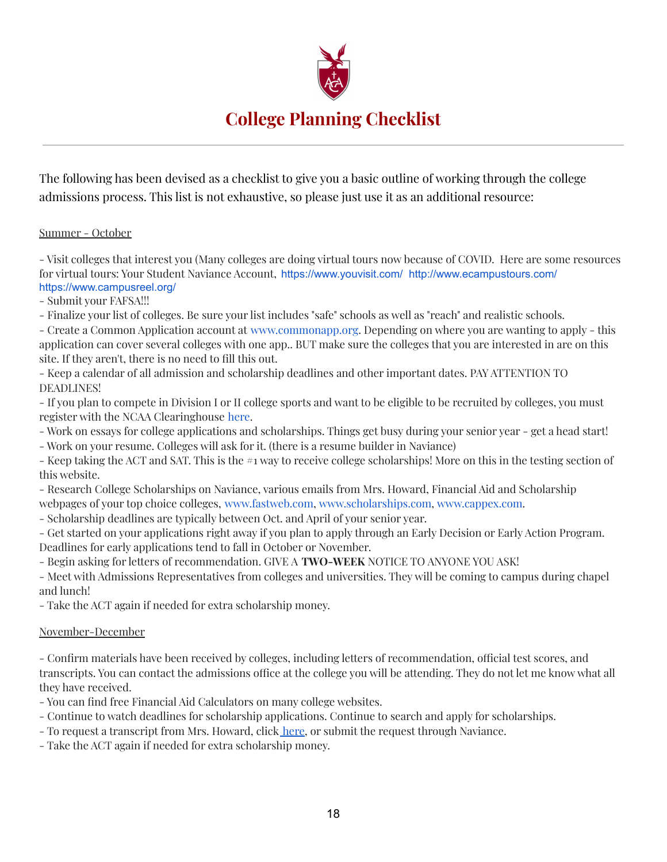

## **College Planning Checklist**

The following has been devised as a checklist to give you a basic outline of working through the college admissions process. This list is not exhaustive, so please just use it as an additional resource:

#### Summer - October

- Visit colleges that interest you (Many colleges are doing virtual tours now because of COVID. Here are some resources for virtual tours: Your Student Naviance Account, <https://www.youvisit.com/> <http://www.ecampustours.com/> <https://www.campusreel.org/>

- Submit your FAFSA!!!

- Finalize your list of colleges. Be sure your list includes "safe" schools as well as "reach" and realistic schools.

- Create a Common Application account at [www.commonapp.org](http://www.commonapp.org). Depending on where you are wanting to apply - this application can cover several colleges with one app.. BUT make sure the colleges that you are interested in are on this site. If they aren't, there is no need to fill this out.

- Keep a calendar of all admission and scholarship deadlines and other important dates. PAY ATTENTION TO DEADLINES!

- If you plan to compete in Division I or II college sports and want to be eligible to be recruited by colleges, you must register with the NCAA Clearinghouse [here.](https://web3.ncaa.org/ecwr3/)

- Work on essays for college applications and scholarships. Things get busy during your senior year get a head start!
- Work on your resume. Colleges will ask for it. (there is a resume builder in Naviance)

- Keep taking the ACT and SAT. This is the #1 way to receive college scholarships! More on this in the testing section of this website.

- Research College Scholarships on Naviance, various emails from Mrs. Howard, Financial Aid and Scholarship webpages of your top choice colleges, [www.fastweb.com,](http://www.fastweb.com) [www.scholarships.com](http://www.scholasrhips.com), [www.cappex.com.](http://www.cappex.com)

- Scholarship deadlines are typically between Oct. and April of your senior year.

- Get started on your applications right away if you plan to apply through an Early Decision or Early Action Program. Deadlines for early applications tend to fall in October or November.

- Begin asking for letters of recommendation. GIVE A **TWO-WEEK** NOTICE TO ANYONE YOU ASK!
- Meet with Admissions Representatives from colleges and universities. They will be coming to campus during chapel and lunch!

- Take the ACT again if needed for extra scholarship money.

#### November-December

- Confirm materials have been received by colleges, including letters of recommendation, official test scores, and transcripts. You can contact the admissions office at the college you will be attending. They do not let me know what all they have received.

- You can find free Financial Aid Calculators on many college websites.

- Continue to watch deadlines for scholarship applications. Continue to search and apply for scholarships.
- To request a transcript from Mrs. Howard, click [here,](https://sites.google.com/alabamachristian.org/acacounselingcenter/important-links/request-a-transcript?authuser=0) or submit the request through Naviance.
- Take the ACT again if needed for extra scholarship money.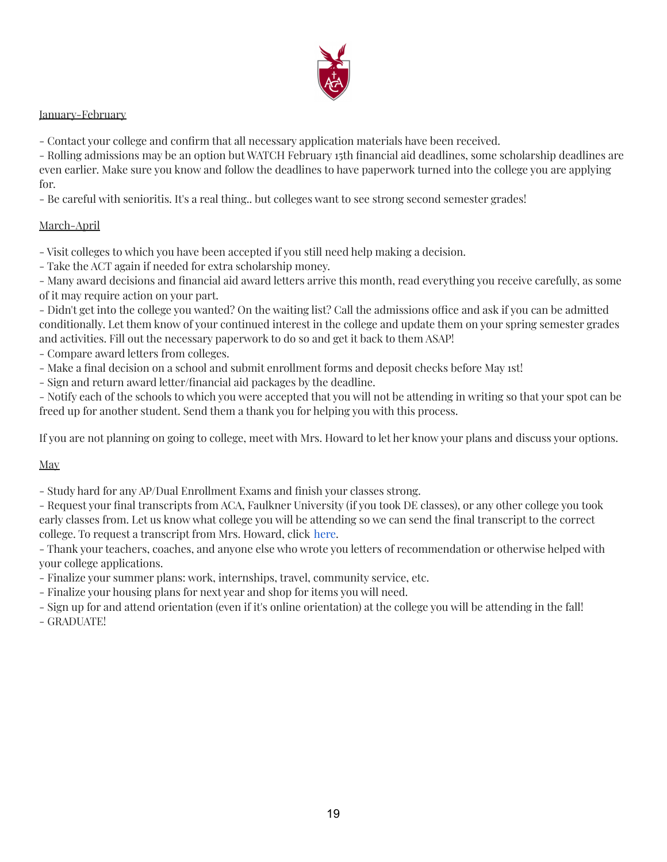

### January-February

- Contact your college and confirm that all necessary application materials have been received.

- Rolling admissions may be an option but WATCH February 15th financial aid deadlines, some scholarship deadlines are even earlier. Make sure you know and follow the deadlines to have paperwork turned into the college you are applying for.

- Be careful with senioritis. It's a real thing.. but colleges want to see strong second semester grades!

### March-April

- Visit colleges to which you have been accepted if you still need help making a decision.

- Take the ACT again if needed for extra scholarship money.

- Many award decisions and financial aid award letters arrive this month, read everything you receive carefully, as some of it may require action on your part.

- Didn't get into the college you wanted? On the waiting list? Call the admissions office and ask if you can be admitted conditionally. Let them know of your continued interest in the college and update them on your spring semester grades and activities. Fill out the necessary paperwork to do so and get it back to them ASAP!

- Compare award letters from colleges.

- Make a final decision on a school and submit enrollment forms and deposit checks before May 1st!

- Sign and return award letter/financial aid packages by the deadline.

- Notify each of the schools to which you were accepted that you will not be attending in writing so that your spot can be freed up for another student. Send them a thank you for helping you with this process.

If you are not planning on going to college, meet with Mrs. Howard to let her know your plans and discuss your options.

**May** 

- Study hard for any AP/Dual Enrollment Exams and finish your classes strong.

- Request your final transcripts from ACA, Faulkner University (if you took DE classes), or any other college you took early classes from. Let us know what college you will be attending so we can send the final transcript to the correct college. To request a transcript from Mrs. Howard, click [here](https://sites.google.com/alabamachristian.org/acacounselingcenter/important-links/request-a-transcript?authuser=0).

- Thank your teachers, coaches, and anyone else who wrote you letters of recommendation or otherwise helped with your college applications.

- Finalize your summer plans: work, internships, travel, community service, etc.

- Finalize your housing plans for next year and shop for items you will need.

- Sign up for and attend orientation (even if it's online orientation) at the college you will be attending in the fall! - GRADUATE!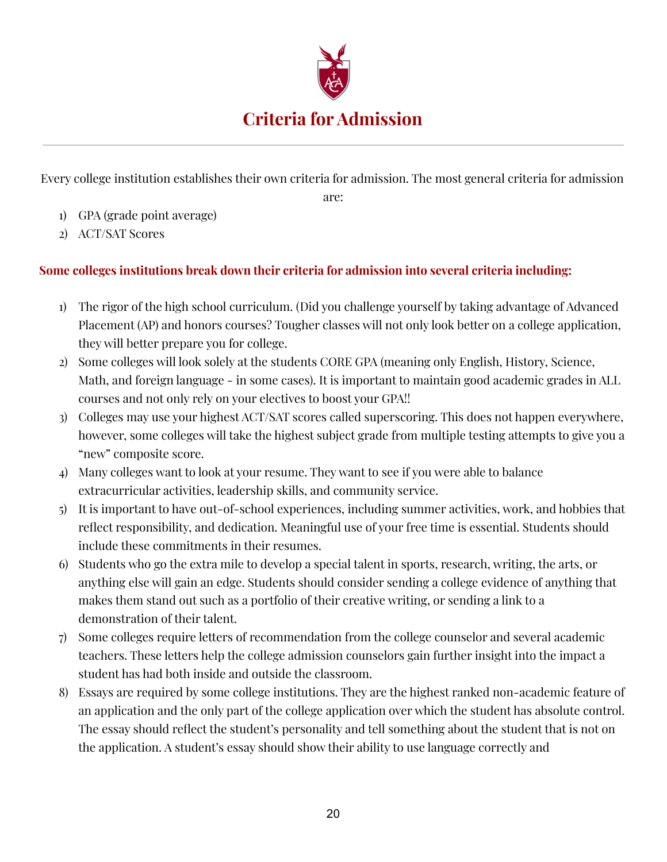

Every college institution establishes their own criteria for admission. The most general criteria for admission

are:

- 1) GPA (grade point average)
- 2) ACT/SAT Scores

## **Some colleges institutions break down their criteria for admission into several criteria including:**

- 1) The rigor of the high school curriculum. (Did you challenge yourself by taking advantage of Advanced Placement (AP) and honors courses? Tougher classes will not only look better on a college application, they will better prepare you for college.
- 2) Some colleges will look solely at the students CORE GPA (meaning only English, History, Science, Math, and foreign language - in some cases). It is important to maintain good academic grades in ALL courses and not only rely on your electives to boost your GPA!!
- 3) Colleges may use your highest ACT/SAT scores called superscoring. This does not happen everywhere, however, some colleges will take the highest subject grade from multiple testing attempts to give you a "new" composite score.
- 4) Many colleges want to look at your resume. They want to see if you were able to balance extracurricular activities, leadership skills, and community service.
- 5) It is important to have out-of-school experiences, including summer activities, work, and hobbies that reflect responsibility, and dedication. Meaningful use of your free time is essential. Students should include these commitments in their resumes.
- 6) Students who go the extra mile to develop a special talent in sports, research, writing, the arts, or anything else will gain an edge. Students should consider sending a college evidence of anything that makes them stand out such as a portfolio of their creative writing, or sending a link to a demonstration of their talent.
- 7) Some colleges require letters of recommendation from the college counselor and several academic teachers. These letters help the college admission counselors gain further insight into the impact a student has had both inside and outside the classroom.
- 8) Essays are required by some college institutions. They are the highest ranked non-academic feature of an application and the only part of the college application over which the student has absolute control. The essay should reflect the student's personality and tell something about the student that is not on the application. A student's essay should show their ability to use language correctly and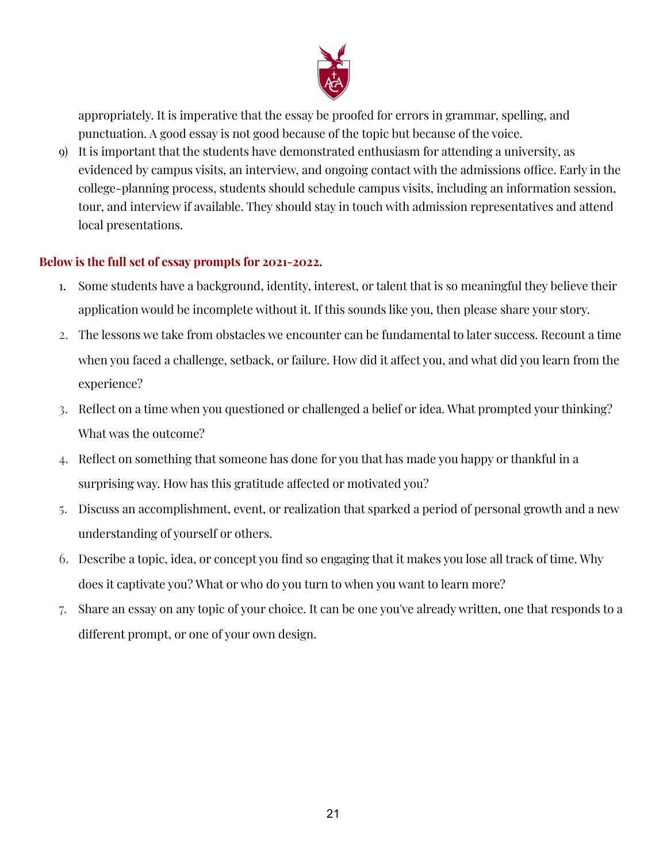

appropriately. It is imperative that the essay be proofed for errors in grammar, spelling, and punctuation. A good essay is not good because of the topic but because of the voice.

9) It is important that the students have demonstrated enthusiasm for attending a university, as evidenced by campus visits, an interview, and ongoing contact with the admissions office. Early in the college-planning process, students should schedule campus visits, including an information session, tour, and interview if available. They should stay in touch with admission representatives and attend local presentations.

## **Below is the full set of essay prompts for 2021-2022.**

- 1. Some students have a background, identity, interest, or talent that is so meaningful they believe their application would be incomplete without it. If this sounds like you, then please share your story.
- 2. The lessons we take from obstacles we encounter can be fundamental to later success. Recount a time when you faced a challenge, setback, or failure. How did it affect you, and what did you learn from the experience?
- 3. Reflect on a time when you questioned or challenged a belief or idea. What prompted your thinking? What was the outcome?
- 4. Reflect on something that someone has done for you that has made you happy or thankful in a surprising way. How has this gratitude affected or motivated you?
- 5. Discuss an accomplishment, event, or realization that sparked a period of personal growth and a new understanding of yourself or others.
- 6. Describe a topic, idea, or concept you find so engaging that it makes you lose all track of time. Why does it captivate you? What or who do you turn to when you want to learn more?
- 7. Share an essay on any topic of your choice. It can be one you've already written, one that responds to a different prompt, or one of your own design.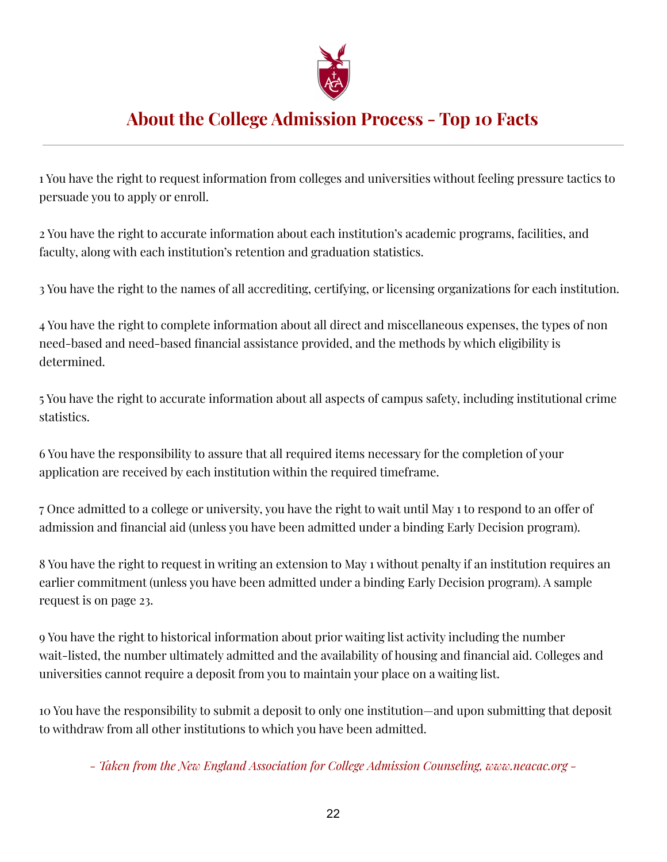

## **About the College Admission Process - Top 10 Facts**

1 You have the right to request information from colleges and universities without feeling pressure tactics to persuade you to apply or enroll.

2 You have the right to accurate information about each institution's academic programs, facilities, and faculty, along with each institution's retention and graduation statistics.

3 You have the right to the names of all accrediting, certifying, or licensing organizations for each institution.

4 You have the right to complete information about all direct and miscellaneous expenses, the types of non need-based and need-based financial assistance provided, and the methods by which eligibility is determined.

5 You have the right to accurate information about all aspects of campus safety, including institutional crime statistics.

6 You have the responsibility to assure that all required items necessary for the completion of your application are received by each institution within the required timeframe.

7 Once admitted to a college or university, you have the right to wait until May 1 to respond to an offer of admission and financial aid (unless you have been admitted under a binding Early Decision program).

8 You have the right to request in writing an extension to May 1 without penalty if an institution requires an earlier commitment (unless you have been admitted under a binding Early Decision program). A sample request is on page 23.

9 You have the right to historical information about prior waiting list activity including the number wait-listed, the number ultimately admitted and the availability of housing and financial aid. Colleges and universities cannot require a deposit from you to maintain your place on a waiting list.

10 You have the responsibility to submit a deposit to only one institution—and upon submitting that deposit to withdraw from all other institutions to which you have been admitted.

*- Taken from the New England Association for College Admission Counseling, www.neacac.org -*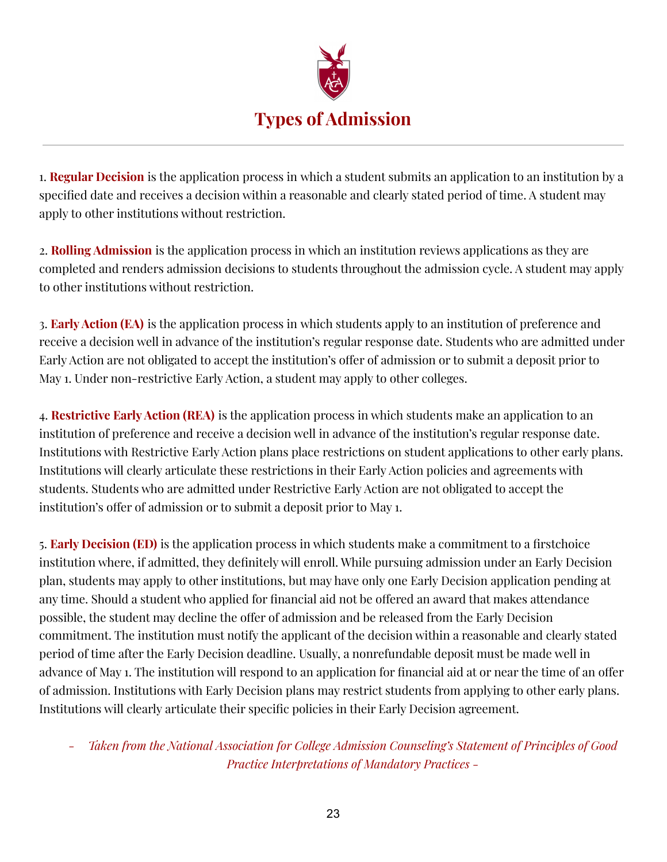

1. **Regular Decision** is the application process in which a student submits an application to an institution by a specified date and receives a decision within a reasonable and clearly stated period of time. A student may apply to other institutions without restriction.

2. **Rolling Admission** is the application process in which an institution reviews applications as they are completed and renders admission decisions to students throughout the admission cycle. A student may apply to other institutions without restriction.

3. **EarlyAction (EA)** is the application process in which students apply to an institution of preference and receive a decision well in advance of the institution's regular response date. Students who are admitted under Early Action are not obligated to accept the institution's offer of admission or to submit a deposit prior to May 1. Under non-restrictive Early Action, a student may apply to other colleges.

4. **Restrictive EarlyAction (REA)** is the application process in which students make an application to an institution of preference and receive a decision well in advance of the institution's regular response date. Institutions with Restrictive Early Action plans place restrictions on student applications to other early plans. Institutions will clearly articulate these restrictions in their Early Action policies and agreements with students. Students who are admitted under Restrictive Early Action are not obligated to accept the institution's offer of admission or to submit a deposit prior to May 1.

5. **Early Decision (ED)** is the application process in which students make a commitment to a firstchoice institution where, if admitted, they definitely will enroll. While pursuing admission under an Early Decision plan, students may apply to other institutions, but may have only one Early Decision application pending at any time. Should a student who applied for financial aid not be offered an award that makes attendance possible, the student may decline the offer of admission and be released from the Early Decision commitment. The institution must notify the applicant of the decision within a reasonable and clearly stated period of time after the Early Decision deadline. Usually, a nonrefundable deposit must be made well in advance of May 1. The institution will respond to an application for financial aid at or near the time of an offer of admission. Institutions with Early Decision plans may restrict students from applying to other early plans. Institutions will clearly articulate their specific policies in their Early Decision agreement.

*- Taken from the National Association for College Admission Counseling's Statement of Principles of Good Practice Interpretations of Mandatory Practices -*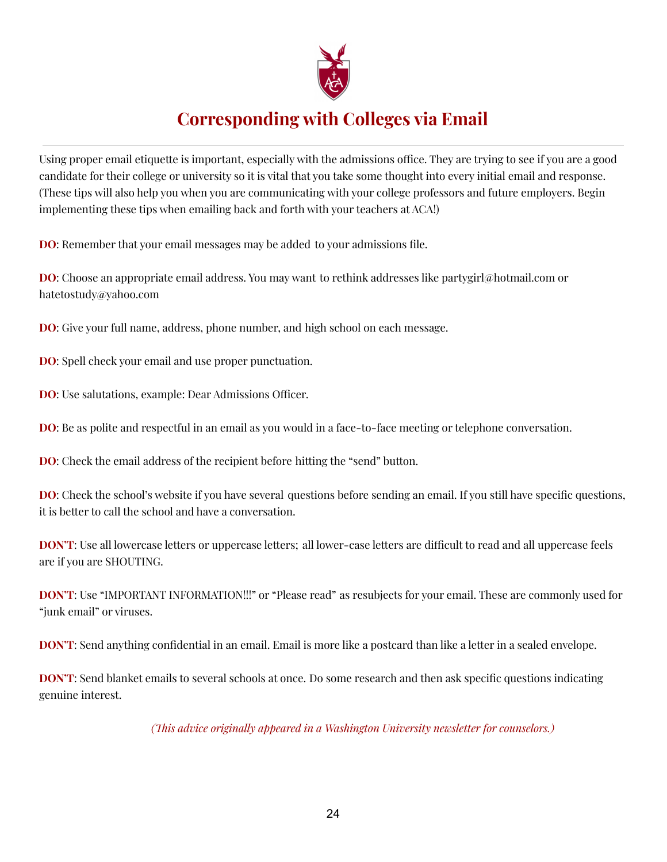

## **Corresponding with Colleges via Email**

Using proper email etiquette is important, especially with the admissions office. They are trying to see if you are a good candidate for their college or university so it is vital that you take some thought into every initial email and response. (These tips will also help you when you are communicating with your college professors and future employers. Begin implementing these tips when emailing back and forth with your teachers at ACA!)

**DO**: Remember that your email messages may be added to your admissions file.

**DO**: Choose an appropriate email address. You may want to rethink addresses like partygirl@hotmail.com or hatetostudy@yahoo.com

**DO**: Give your full name, address, phone number, and high school on each message.

**DO**: Spell check your email and use proper punctuation.

**DO**: Use salutations, example: Dear Admissions Officer.

**DO**: Be as polite and respectful in an email as you would in a face-to-face meeting or telephone conversation.

**DO**: Check the email address of the recipient before hitting the "send" button.

**DO**: Check the school's website if you have several questions before sending an email. If you still have specific questions, it is better to call the school and have a conversation.

**DON'T**: Use all lowercase letters or uppercase letters; all lower-case letters are difficult to read and all uppercase feels are if you are SHOUTING.

**DON'T**: Use "IMPORTANT INFORMATION!!!" or "Please read" as resubjects for your email. These are commonly used for "junk email" or viruses.

**DON'T**: Send anything confidential in an email. Email is more like a postcard than like a letter in a sealed envelope.

**DON'T**: Send blanket emails to several schools at once. Do some research and then ask specific questions indicating genuine interest.

*(This advice originally appeared in a Washington University newsletter for counselors.)*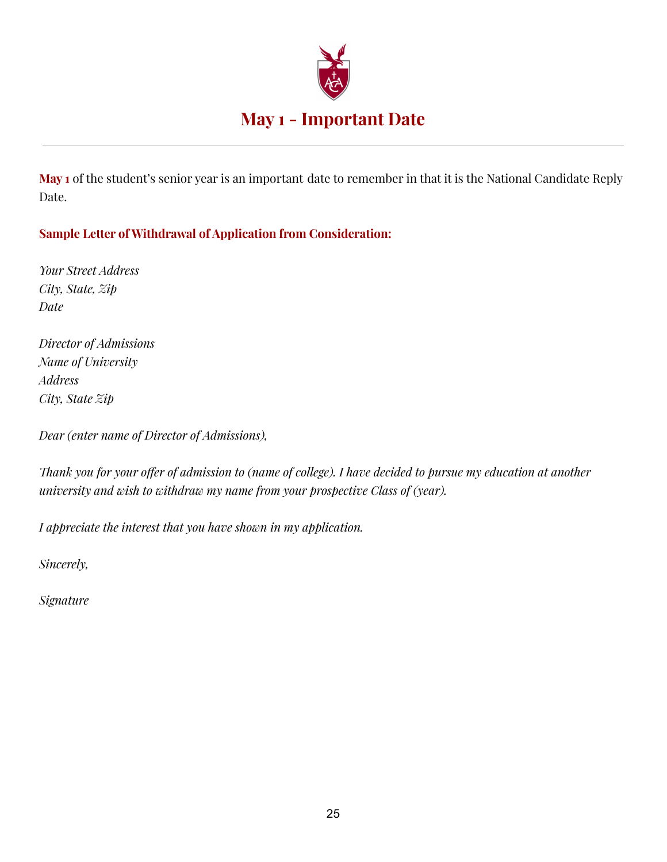

## **May 1 - Important Date**

**May 1** of the student's senior year is an important date to remember in that it is the National Candidate Reply Date.

**Sample Letter of Withdrawal of Application from Consideration:**

*Your Street Address City, State, Zip Date*

*Director of Admissions Name of University Address City, State Zip*

*Dear (enter name of Director of Admissions),*

Thank you for your offer of admission to (name of college). I have decided to pursue my education at another *university and wish to withdraw my name from your prospective Class of (year).*

*I appreciate the interest that you have shown in my application.*

*Sincerely,*

*Signature*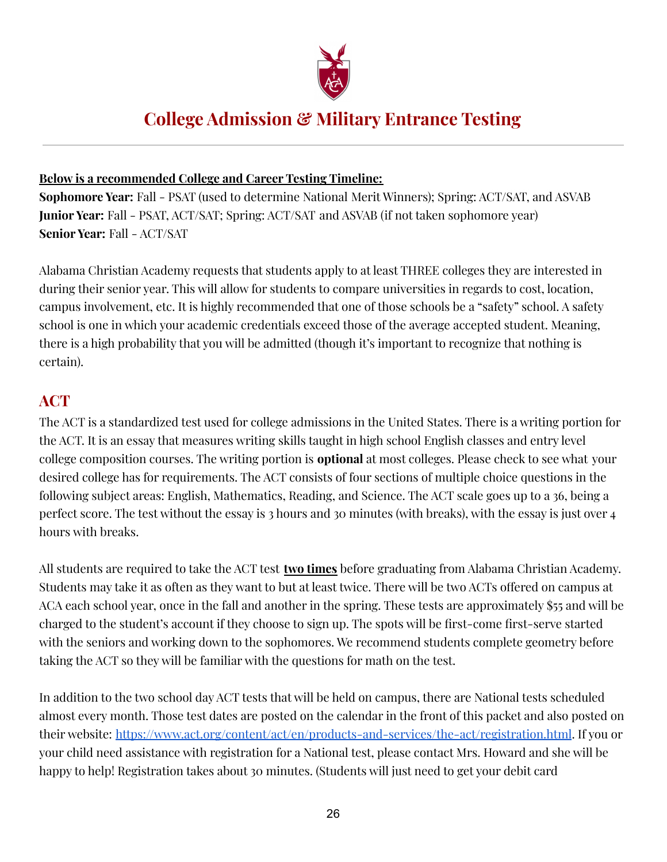

## **College Admission & Military Entrance Testing**

## **Below is a recommended College and Career Testing Timeline:**

**Sophomore Year:** Fall - PSAT (used to determine National Merit Winners); Spring: ACT/SAT, and ASVAB **Junior Year:** Fall - PSAT, ACT/SAT; Spring: ACT/SAT and ASVAB (if not taken sophomore year) **Senior Year:** Fall - ACT/SAT

Alabama Christian Academy requests that students apply to at least THREE colleges they are interested in during their senior year. This will allow for students to compare universities in regards to cost, location, campus involvement, etc. It is highly recommended that one of those schools be a "safety" school. A safety school is one in which your academic credentials exceed those of the average accepted student. Meaning, there is a high probability that you will be admitted (though it's important to recognize that nothing is certain).

## **ACT**

The ACT is a standardized test used for college admissions in the United States. There is a writing portion for the ACT. It is an essay that measures writing skills taught in high school English classes and entry level college composition courses. The writing portion is **optional** at most colleges. Please check to see what your desired college has for requirements. The ACT consists of four sections of multiple choice questions in the following subject areas: English, Mathematics, Reading, and Science. The ACT scale goes up to a 36, being a perfect score. The test without the essay is 3 hours and 30 minutes (with breaks), with the essay is just over 4 hours with breaks.

All students are required to take the ACT test **two times** before graduating from Alabama Christian Academy. Students may take it as often as they want to but at least twice. There will be two ACTs offered on campus at ACA each school year, once in the fall and another in the spring. These tests are approximately \$55 and will be charged to the student's account if they choose to sign up. The spots will be first-come first-serve started with the seniors and working down to the sophomores. We recommend students complete geometry before taking the ACT so they will be familiar with the questions for math on the test.

In addition to the two school day ACT tests that will be held on campus, there are National tests scheduled almost every month. Those test dates are posted on the calendar in the front of this packet and also posted on their website: <https://www.act.org/content/act/en/products-and-services/the-act/registration.html>. If you or your child need assistance with registration for a National test, please contact Mrs. Howard and she will be happy to help! Registration takes about 30 minutes. (Students will just need to get your debit card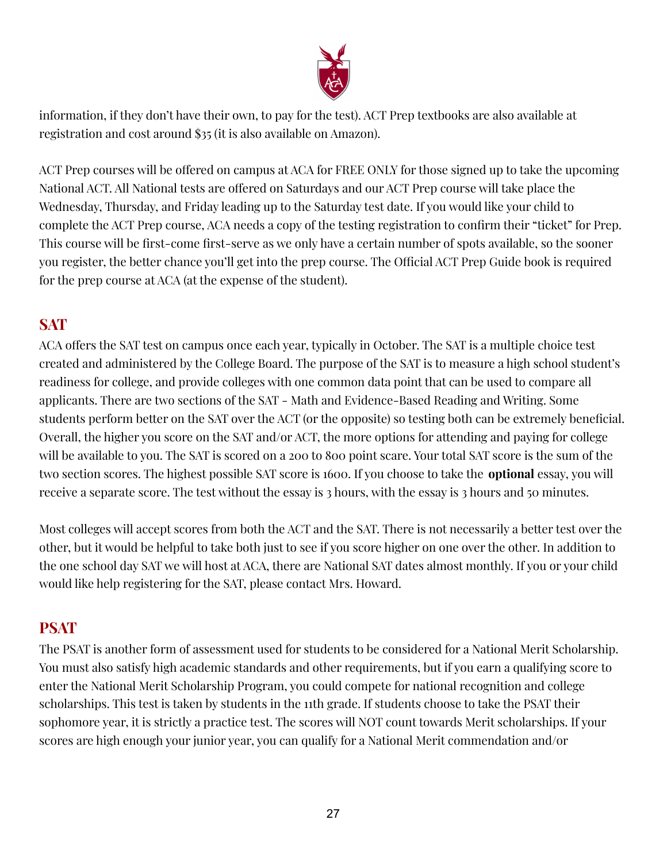

information, if they don't have their own, to pay for the test). ACT Prep textbooks are also available at registration and cost around \$35 (it is also available on Amazon).

ACT Prep courses will be offered on campus at ACA for FREE ONLY for those signed up to take the upcoming National ACT. All National tests are offered on Saturdays and our ACT Prep course will take place the Wednesday, Thursday, and Friday leading up to the Saturday test date. If you would like your child to complete the ACT Prep course, ACA needs a copy of the testing registration to confirm their "ticket" for Prep. This course will be first-come first-serve as we only have a certain number of spots available, so the sooner you register, the better chance you'll get into the prep course. The Official ACT Prep Guide book is required for the prep course at ACA (at the expense of the student).

## **SAT**

ACA offers the SAT test on campus once each year, typically in October. The SAT is a multiple choice test created and administered by the College Board. The purpose of the SAT is to measure a high school student's readiness for college, and provide colleges with one common data point that can be used to compare all applicants. There are two sections of the SAT - Math and Evidence-Based Reading and Writing. Some students perform better on the SAT over the ACT (or the opposite) so testing both can be extremely beneficial. Overall, the higher you score on the SAT and/or ACT, the more options for attending and paying for college will be available to you. The SAT is scored on a 200 to 800 point scare. Your total SAT score is the sum of the two section scores. The highest possible SAT score is 1600. If you choose to take the **optional** essay, you will receive a separate score. The test without the essay is 3 hours, with the essay is 3 hours and 50 minutes.

Most colleges will accept scores from both the ACT and the SAT. There is not necessarily a better test over the other, but it would be helpful to take both just to see if you score higher on one over the other. In addition to the one school day SAT we will host at ACA, there are National SAT dates almost monthly. If you or your child would like help registering for the SAT, please contact Mrs. Howard.

## **PSAT**

The PSAT is another form of assessment used for students to be considered for a National Merit Scholarship. You must also satisfy high academic standards and other requirements, but if you earn a qualifying score to enter the National Merit Scholarship Program, you could compete for national recognition and college scholarships. This test is taken by students in the 11th grade. If students choose to take the PSAT their sophomore year, it is strictly a practice test. The scores will NOT count towards Merit scholarships. If your scores are high enough your junior year, you can qualify for a National Merit commendation and/or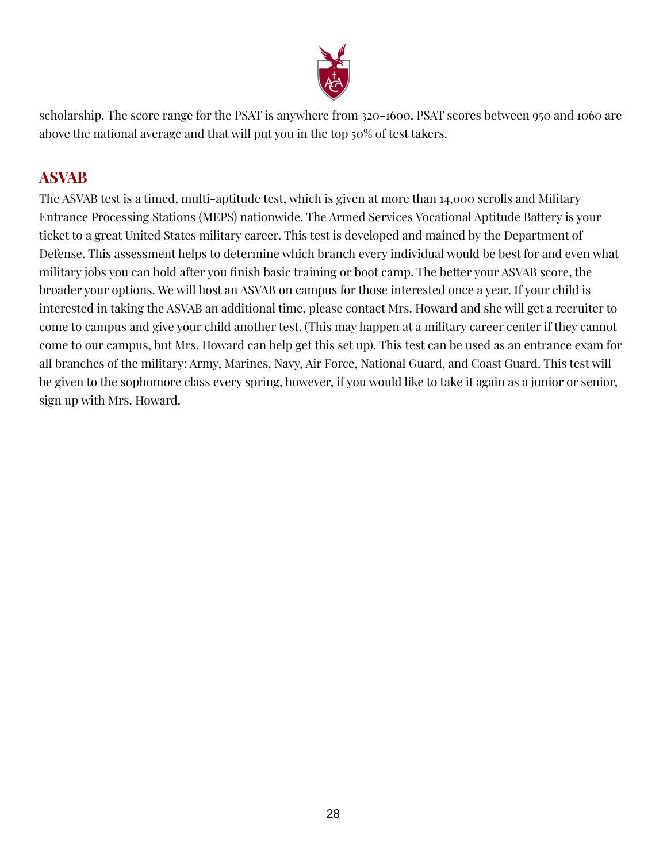

scholarship. The score range for the PSAT is anywhere from 320-1600. PSAT scores between 950 and 1060 are above the national average and that will put you in the top 50% of test takers.

## **ASVAB**

The ASVAB test is a timed, multi-aptitude test, which is given at more than 14,000 scrolls and Military Entrance Processing Stations (MEPS) nationwide. The Armed Services Vocational Aptitude Battery is your ticket to a great United States military career. This test is developed and mained by the Department of Defense. This assessment helps to determine which branch every individual would be best for and even what military jobs you can hold after you finish basic training or boot camp. The better your ASVAB score, the broader your options. We will host an ASVAB on campus for those interested once a year. If your child is interested in taking the ASVAB an additional time, please contact Mrs. Howard and she will get a recruiter to come to campus and give your child another test. (This may happen at a military career center if they cannot come to our campus, but Mrs. Howard can help get this set up). This test can be used as an entrance exam for all branches of the military: Army, Marines, Navy, Air Force, National Guard, and Coast Guard. This test will be given to the sophomore class every spring, however, if you would like to take it again as a junior or senior, sign up with Mrs. Howard.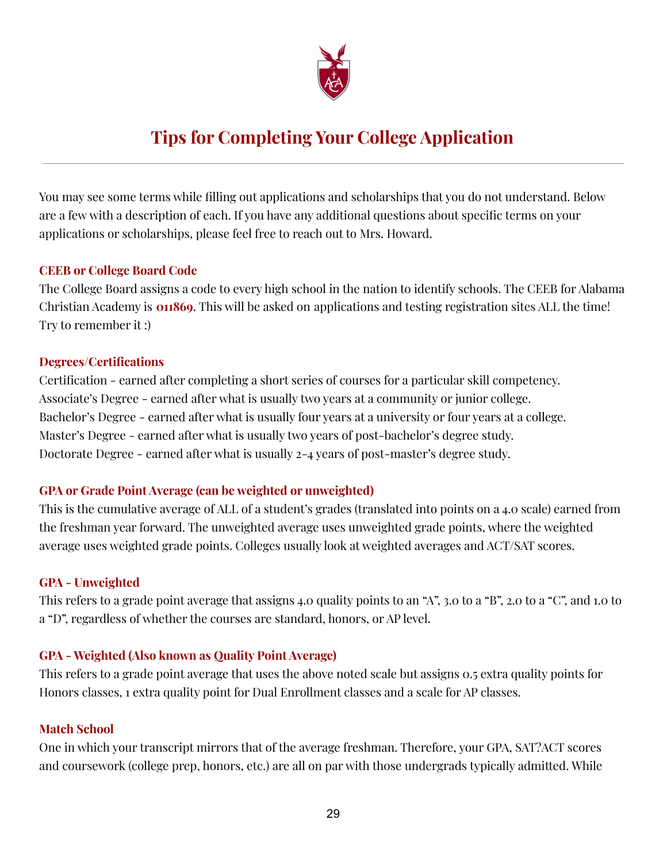

## **Tips for Completing Your College Application**

You may see some terms while filling out applications and scholarships that you do not understand. Below are a few with a description of each. If you have any additional questions about specific terms on your applications or scholarships, please feel free to reach out to Mrs. Howard.

### **CEEB or College Board Code**

The College Board assigns a code to every high school in the nation to identify schools. The CEEB for Alabama Christian Academy is **011869**. This will be asked on applications and testing registration sites ALL the time! Try to remember it :)

### **Degrees/Certifications**

Certification - earned after completing a short series of courses for a particular skill competency. Associate's Degree - earned after what is usually two years at a community or junior college. Bachelor's Degree - earned after what is usually four years at a university or four years at a college. Master's Degree - earned after what is usually two years of post-bachelor's degree study. Doctorate Degree - earned after what is usually 2-4 years of post-master's degree study.

### **GPA or Grade Point Average (can be weighted or unweighted)**

This is the cumulative average of ALL of a student's grades (translated into points on a 4.0 scale) earned from the freshman year forward. The unweighted average uses unweighted grade points, where the weighted average uses weighted grade points. Colleges usually look at weighted averages and ACT/SAT scores.

### **GPA - Unweighted**

This refers to a grade point average that assigns 4.0 quality points to an "A", 3.0 to a "B", 2.0 to a "C", and 1.0 to a "D", regardless of whether the courses are standard, honors, or AP level.

### **GPA - Weighted (Also known as Quality Point Average)**

This refers to a grade point average that uses the above noted scale but assigns 0.5 extra quality points for Honors classes, 1 extra quality point for Dual Enrollment classes and a scale for AP classes.

### **Match School**

One in which your transcript mirrors that of the average freshman. Therefore, your GPA, SAT?ACT scores and coursework (college prep, honors, etc.) are all on par with those undergrads typically admitted. While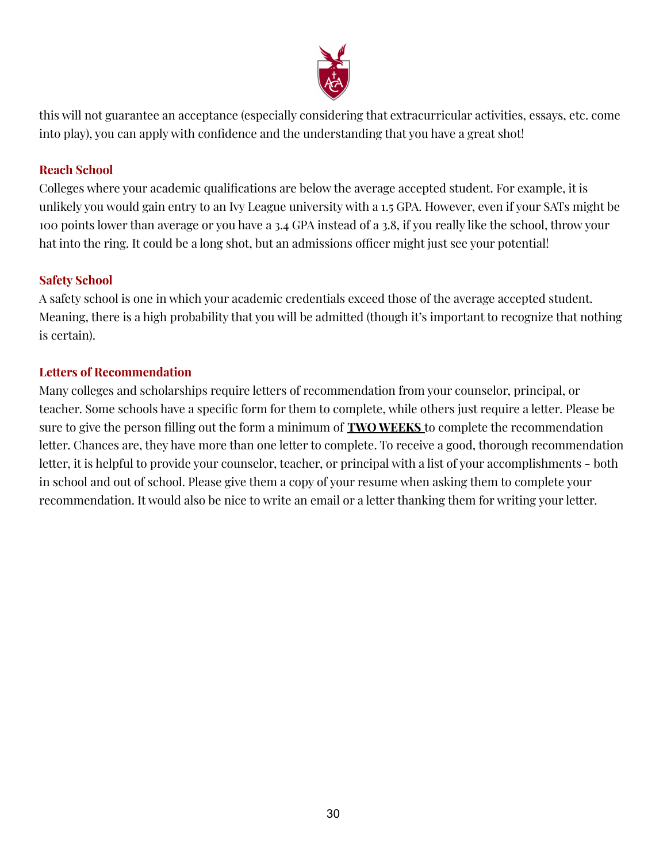

this will not guarantee an acceptance (especially considering that extracurricular activities, essays, etc. come into play), you can apply with confidence and the understanding that you have a great shot!

## **Reach School**

Colleges where your academic qualifications are below the average accepted student. For example, it is unlikely you would gain entry to an Ivy League university with a 1.5 GPA. However, even if your SATs might be 100 points lower than average or you have a 3.4 GPA instead of a 3.8, if you really like the school, throw your hat into the ring. It could be a long shot, but an admissions officer might just see your potential!

## **Safety School**

A safety school is one in which your academic credentials exceed those of the average accepted student. Meaning, there is a high probability that you will be admitted (though it's important to recognize that nothing is certain).

## **Letters of Recommendation**

Many colleges and scholarships require letters of recommendation from your counselor, principal, or teacher. Some schools have a specific form for them to complete, while others just require a letter. Please be sure to give the person filling out the form a minimum of **TWO WEEKS** to complete the recommendation letter. Chances are, they have more than one letter to complete. To receive a good, thorough recommendation letter, it is helpful to provide your counselor, teacher, or principal with a list of your accomplishments - both in school and out of school. Please give them a copy of your resume when asking them to complete your recommendation. It would also be nice to write an email or a letter thanking them for writing your letter.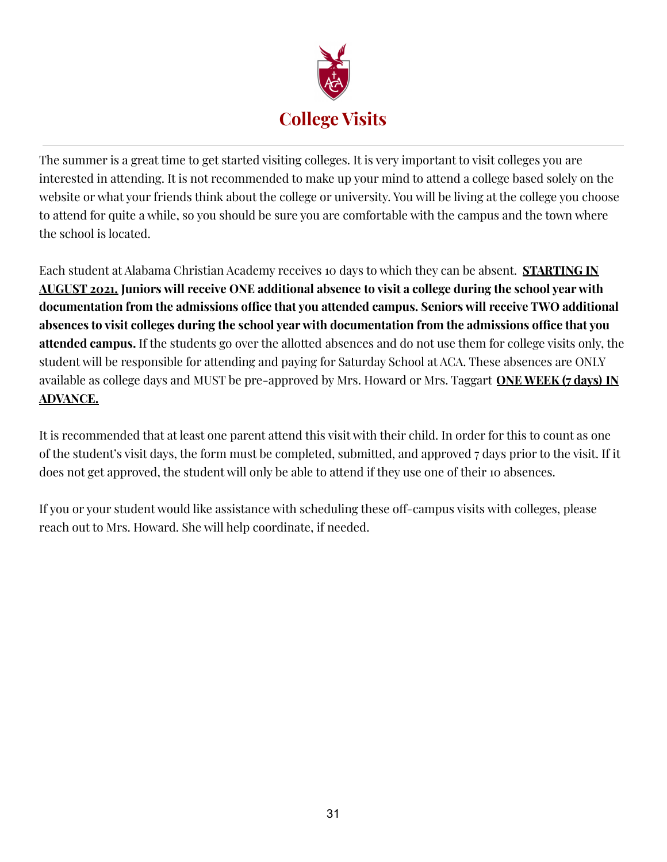

The summer is a great time to get started visiting colleges. It is very important to visit colleges you are interested in attending. It is not recommended to make up your mind to attend a college based solely on the website or what your friends think about the college or university. You will be living at the college you choose to attend for quite a while, so you should be sure you are comfortable with the campus and the town where the school is located.

Each student at Alabama Christian Academy receives 10 days to which they can be absent. **STARTING IN AUGUST 2021, Juniors will receive ONE additional absence to visit a college during the school year with documentation from the admissions office that you attended campus. Seniors will receive TWO additional absences to visit colleges during the school year with documentation from the admissions office that you attended campus.** If the students go over the allotted absences and do not use them for college visits only, the student will be responsible for attending and paying for Saturday School at ACA. These absences are ONLY available as college days and MUST be pre-approved by Mrs. Howard or Mrs. Taggart **ONE WEEK (7 days) IN ADVANCE.**

It is recommended that at least one parent attend this visit with their child. In order for this to count as one of the student's visit days, the form must be completed, submitted, and approved 7 days prior to the visit. If it does not get approved, the student will only be able to attend if they use one of their 10 absences.

If you or your student would like assistance with scheduling these off-campus visits with colleges, please reach out to Mrs. Howard. She will help coordinate, if needed.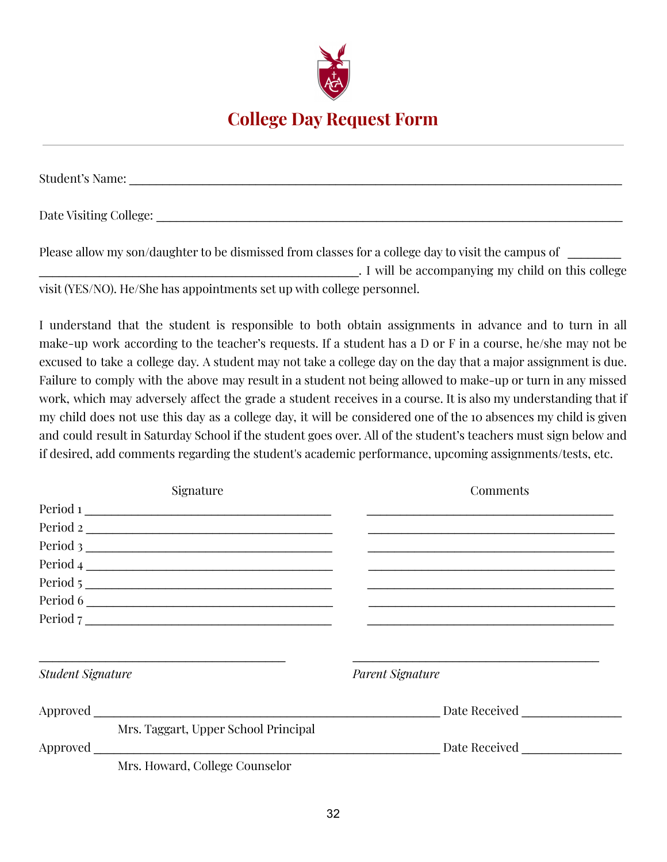

## **College Day Request Form**

| Student's Name:        |  |  |  |
|------------------------|--|--|--|
| Date Visiting College: |  |  |  |

Please allow my son/daughter to be dismissed from classes for a college day to visit the campus of \_\_\_\_\_\_\_\_\_\_\_\_\_\_\_\_\_\_\_\_\_\_\_\_\_\_\_\_\_\_\_\_\_\_\_\_\_\_\_\_\_\_\_\_\_\_\_\_. I will be accompanying my child on this college visit (YES/NO). He/She has appointments set up with college personnel.

I understand that the student is responsible to both obtain assignments in advance and to turn in all make-up work according to the teacher's requests. If a student has a D or F in a course, he/she may not be excused to take a college day. A student may not take a college day on the day that a major assignment is due. Failure to comply with the above may result in a student not being allowed to make-up or turn in any missed work, which may adversely affect the grade a student receives in a course. It is also my understanding that if my child does not use this day as a college day, it will be considered one of the 10 absences my child is given and could result in Saturday School if the student goes over. All of the student's teachers must sign below and if desired, add comments regarding the student's academic performance, upcoming assignments/tests, etc.

| Signature                            | Comments                        |
|--------------------------------------|---------------------------------|
| Period 1                             |                                 |
| Period 2                             |                                 |
| Period 3                             |                                 |
| $Period 4 \n$                        |                                 |
| Period 5                             |                                 |
| Period 6                             |                                 |
| Period 7                             |                                 |
|                                      |                                 |
| <b>Student Signature</b>             | Parent Signature                |
|                                      | _ Date Received _______________ |
| Mrs. Taggart, Upper School Principal |                                 |
|                                      |                                 |
| Mrs. Howard, College Counselor       |                                 |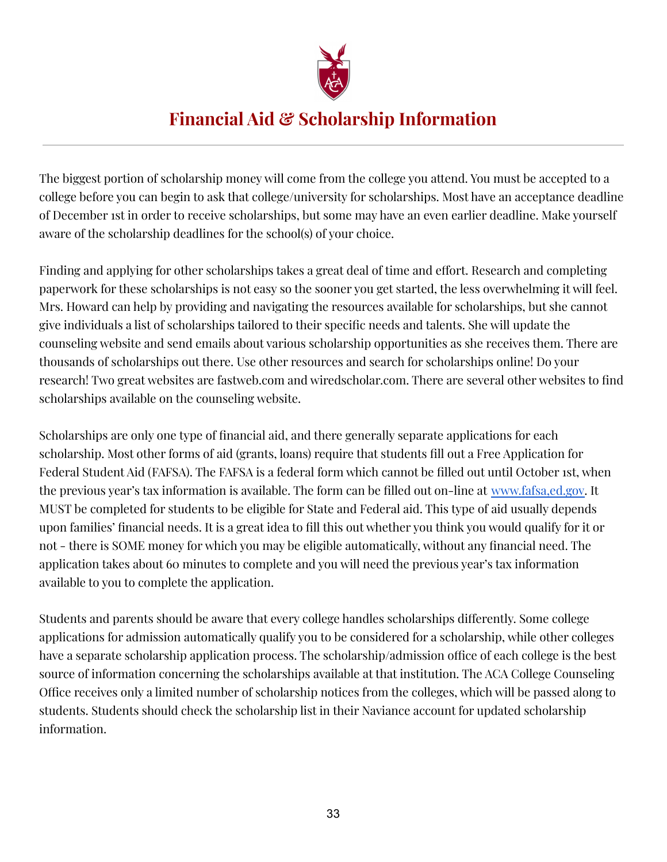

## **Financial Aid & Scholarship Information**

The biggest portion of scholarship money will come from the college you attend. You must be accepted to a college before you can begin to ask that college/university for scholarships. Most have an acceptance deadline of December 1st in order to receive scholarships, but some may have an even earlier deadline. Make yourself aware of the scholarship deadlines for the school(s) of your choice.

Finding and applying for other scholarships takes a great deal of time and effort. Research and completing paperwork for these scholarships is not easy so the sooner you get started, the less overwhelming it will feel. Mrs. Howard can help by providing and navigating the resources available for scholarships, but she cannot give individuals a list of scholarships tailored to their specific needs and talents. She will update the counseling website and send emails about various scholarship opportunities as she receives them. There are thousands of scholarships out there. Use other resources and search for scholarships online! Do your research! Two great websites are fastweb.com and wiredscholar.com. There are several other websites to find scholarships available on the counseling website.

Scholarships are only one type of financial aid, and there generally separate applications for each scholarship. Most other forms of aid (grants, loans) require that students fill out a Free Application for Federal Student Aid (FAFSA). The FAFSA is a federal form which cannot be filled out until October 1st, when the previous year's tax information is available. The form can be filled out on-line at www.fafsa,ed.gov. It MUST be completed for students to be eligible for State and Federal aid. This type of aid usually depends upon families' financial needs. It is a great idea to fill this out whether you think you would qualify for it or not - there is SOME money for which you may be eligible automatically, without any financial need. The application takes about 60 minutes to complete and you will need the previous year's tax information available to you to complete the application.

Students and parents should be aware that every college handles scholarships differently. Some college applications for admission automatically qualify you to be considered for a scholarship, while other colleges have a separate scholarship application process. The scholarship/admission office of each college is the best source of information concerning the scholarships available at that institution. The ACA College Counseling Office receives only a limited number of scholarship notices from the colleges, which will be passed along to students. Students should check the scholarship list in their Naviance account for updated scholarship information.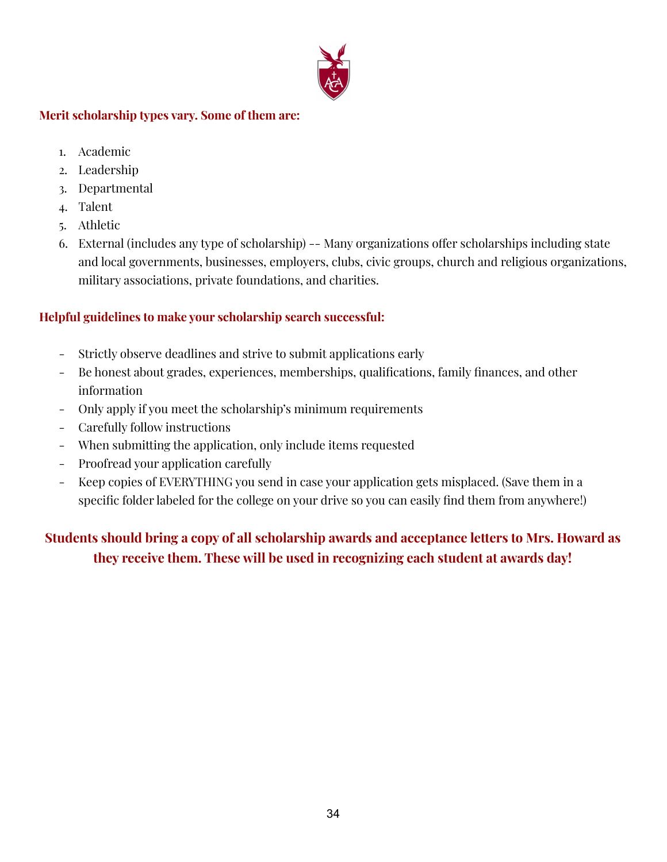

## **Merit scholarship types vary. Some of them are:**

- 1. Academic
- 2. Leadership
- 3. Departmental
- 4. Talent
- 5. Athletic
- 6. External (includes any type of scholarship) -- Many organizations offer scholarships including state and local governments, businesses, employers, clubs, civic groups, church and religious organizations, military associations, private foundations, and charities.

## **Helpful guidelines to make your scholarship search successful:**

- Strictly observe deadlines and strive to submit applications early
- Be honest about grades, experiences, memberships, qualifications, family finances, and other information
- Only apply if you meet the scholarship's minimum requirements
- Carefully follow instructions
- When submitting the application, only include items requested
- Proofread your application carefully
- Keep copies of EVERYTHING you send in case your application gets misplaced. (Save them in a specific folder labeled for the college on your drive so you can easily find them from anywhere!)

## **Students should bring a copy of all scholarship awards and acceptance letters to Mrs. Howard as they receive them. These will be used in recognizing each student at awards day!**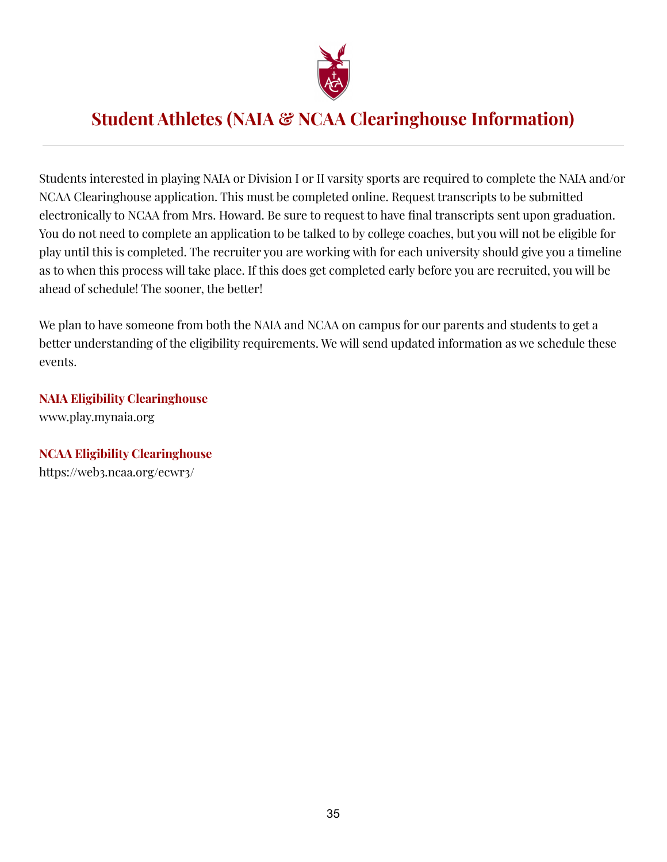

## **Student Athletes (NAIA & NCAA Clearinghouse Information)**

Students interested in playing NAIA or Division I or II varsity sports are required to complete the NAIA and/or NCAA Clearinghouse application. This must be completed online. Request transcripts to be submitted electronically to NCAA from Mrs. Howard. Be sure to request to have final transcripts sent upon graduation. You do not need to complete an application to be talked to by college coaches, but you will not be eligible for play until this is completed. The recruiter you are working with for each university should give you a timeline as to when this process will take place. If this does get completed early before you are recruited, you will be ahead of schedule! The sooner, the better!

We plan to have someone from both the NAIA and NCAA on campus for our parents and students to get a better understanding of the eligibility requirements. We will send updated information as we schedule these events.

**NAIA Eligibility Clearinghouse** www.play.mynaia.org

**NCAA Eligibility Clearinghouse** https://web3.ncaa.org/ecwr3/